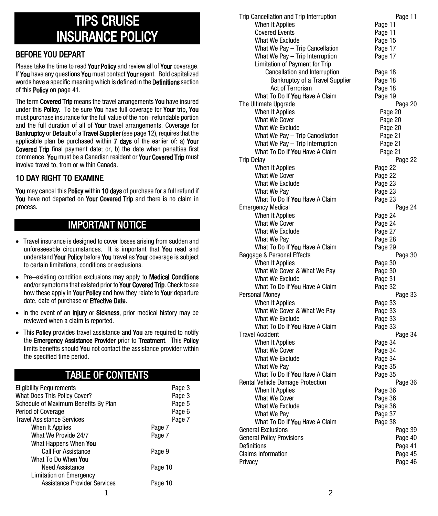# TIPS CRUISE INSURANCE POLICY

## BEFORE YOU DEPART

Please take the time to read Your Policy and review all of Your coverage. If You have any questions You must contact Your agent. Bold capitalized words have a specific meaning which is defined in the Definitions section of this Policy on page 41.

The term **Covered Trip** means the travel arrangements **You** have insured under this **Policy**. To be sure **You** have full coverage for **Your** trip, You must purchase insurance for the full value of the non-refundable portion and the full duration of all of Your travel arrangements. Coverage for Bankruptcy or Default of a Travel Supplier (see page 12), requires that the applicable plan be purchased within 7 days of the earlier of: a) Your Covered Trip final payment date; or, b) the date when penalties first commence. You must be a Canadian resident or Your Covered Trip must involve travel to, from or within Canada.

## 10 DAY RIGHT TO EXAMINE

You may cancel this Policy within 10 days of purchase for a full refund if You have not departed on Your Covered Trip and there is no claim in process.

# IMPORTANT NOTICE

- Travel insurance is designed to cover losses arising from sudden and unforeseeable circumstances. It is important that You read and understand Your Policy before You travel as Your coverage is subject to certain limitations, conditions or exclusions.
- Pre-existing condition exclusions may apply to **Medical Conditions** and/or symptoms that existed prior to Your Covered Trip. Check to see how these apply in Your Policy and how they relate to Your departure date, date of purchase or Effective Date.
- In the event of an Injury or Sickness, prior medical history may be reviewed when a claim is reported.
- This Policy provides travel assistance and You are required to notify the Emergency Assistance Provider prior to Treatment. This Policy limits benefits should You not contact the assistance provider within the specified time period.

# TABLE OF CONTENTS

| <b>Eligibility Requirements</b><br><b>What Does This Policy Cover?</b> | Page 3<br>Page 3 |
|------------------------------------------------------------------------|------------------|
| Schedule of Maximum Benefits By Plan                                   | Page 5           |
| Period of Coverage                                                     | Page 6           |
| <b>Travel Assistance Services</b>                                      | Page 7           |
| When It Applies                                                        | Page 7           |
| What We Provide 24/7                                                   | Page 7           |
| What Happens When You                                                  |                  |
| <b>Call For Assistance</b>                                             | Page 9           |
| What To Do When You                                                    |                  |
| <b>Need Assistance</b>                                                 | Page 10          |
| <b>Limitation on Emergency</b>                                         |                  |
| <b>Assistance Provider Services</b>                                    | Page 10          |
|                                                                        |                  |

| Trip Cancellation and Trip Interruption             | Page 11            |
|-----------------------------------------------------|--------------------|
| When It Applies                                     | Page 11            |
| <b>Covered Events</b>                               | Page 11            |
| <b>What We Exclude</b>                              | Page 15            |
| What We Pay - Trip Cancellation                     | Page 17            |
| What We Pay - Trip Interruption                     | Page 17            |
| Limitation of Payment for Trip                      |                    |
| Cancellation and Interruption                       | Page 18            |
| Bankruptcy of a Travel Supplier                     | Page 18            |
| <b>Act of Terrorism</b>                             | Page 18            |
| What To Do If You Have A Claim                      | Page 19            |
| The Ultimate Upgrade                                | Page 20            |
| When It Applies                                     | Page 20            |
| <b>What We Cover</b>                                | Page 20            |
| What We Exclude                                     | Page 20            |
| What We Pay - Trip Cancellation                     | Page 21            |
| What We Pay - Trip Interruption                     | Page 21            |
| What To Do If You Have A Claim                      | Page 21            |
| <b>Trip Delay</b>                                   | Page 22            |
| When It Applies                                     | Page 22            |
| <b>What We Cover</b>                                | Page 22            |
| <b>What We Exclude</b>                              | Page 23            |
| What We Pay                                         | Page 23            |
| What To Do If You Have A Claim                      | Page 23            |
| <b>Emergency Medical</b>                            | Page 24            |
| When It Applies                                     | Page 24            |
| <b>What We Cover</b>                                | Page 24            |
| What We Exclude                                     | Page 27            |
| What We Pay                                         | Page 28            |
| What To Do If You Have A Claim                      | Page 29            |
| Baggage & Personal Effects                          | Page 30            |
| When It Applies                                     | Page 30            |
| What We Cover & What We Pay                         | Page 30            |
| What We Exclude                                     | Page 31            |
| What To Do If You Have A Claim                      | Page 32            |
| Personal Money                                      | Page 33            |
| When It Applies                                     |                    |
| What We Cover & What We Pay                         | Page 33<br>Page 33 |
| What We Exclude                                     | Page 33            |
| What To Do If You Have A Claim                      |                    |
| <b>Travel Accident</b>                              | Page 33            |
|                                                     | Page 34            |
| When It Applies                                     | Page 34            |
| <b>What We Cover</b>                                | Page 34            |
| What We Exclude                                     | Page 34            |
| What We Pay                                         | Page 35            |
| What To Do If You Have A Claim                      | Page 35            |
| Rental Vehicle Damage Protection                    | Page 36            |
| When It Applies                                     | Page 36            |
| What We Cover                                       | Page 36            |
| What We Exclude                                     | Page 36            |
| What We Pay                                         | Page 37            |
| What To Do If You Have A Claim                      | Page 38            |
| <b>General Exclusions</b>                           | Page 39            |
| <b>General Policy Provisions</b>                    | Page 40            |
|                                                     | Page 41            |
|                                                     |                    |
| Definitions<br><b>Claims Information</b><br>Privacy | Page 45<br>Page 46 |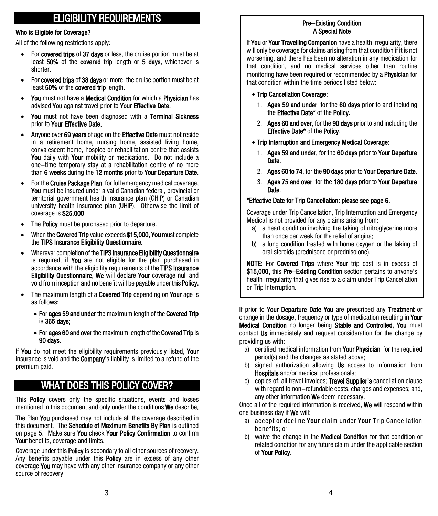# ELIGIBILITY REQUIREMENTS

#### Who is Eligible for Coverage?

All of the following restrictions apply:

- For covered trips of 37 days or less, the cruise portion must be at least 50% of the covered trip length or 5 days, whichever is shorter.
- For covered trips of 38 days or more, the cruise portion must be at least 50% of the covered trip length.
- You must not have a Medical Condition for which a Physician has advised You against travel prior to Your Effective Date.
- You must not have been diagnosed with a Terminal Sickness prior to Your Effective Date.
- Anyone over 69 years of age on the **Effective Date** must not reside in a retirement home, nursing home, assisted living home, convalescent home, hospice or rehabilitation centre that assists You daily with Your mobility or medications. Do not include a one-time temporary stay at a rehabilitation centre of no more than 6 weeks during the 12 months prior to Your Departure Date.
- For the **Cruise Package Plan**, for full emergency medical coverage, You must be insured under a valid Canadian federal, provincial or territorial government health insurance plan (GHIP) or Canadian university health insurance plan (UHIP). Otherwise the limit of coverage is \$25,000
- The **Policy** must be purchased prior to departure.
- When the **Covered Trip** value exceeds \$15,000, You must complete the TIPS Insurance Eligibility Questionnaire.
- Wherever completion of the TIPS Insurance Eligibility Questionnaire is required, if **You** are not eligible for the plan purchased in accordance with the eligibility requirements of the TIPS Insurance Eligibility Questionnaire, We will declare Your coverage null and void from inception and no benefit will be payable under this Policy.
- The maximum length of a **Covered Trip** depending on **Your** age is as follows:
	- For ages 59 and under the maximum length of the Covered Trip is 365 days;
	- For ages 60 and over the maximum length of the Covered Trip is 90 days.

If You do not meet the eligibility requirements previously listed. Your insurance is void and the **Company's** liability is limited to a refund of the premium paid.

# WHAT DOES THIS POLICY COVER?

This Policy covers only the specific situations, events and losses mentioned in this document and only under the conditions We describe.

The Plan You purchased may not include all the coverage described in this document. The Schedule of Maximum Benefits By Plan is outlined on page 5. Make sure You check Your Policy Confirmation to confirm Your benefits, coverage and limits.

Coverage under this **Policy** is secondary to all other sources of recovery. Any benefits payable under this **Policy** are in excess of any other coverage You may have with any other insurance company or any other source of recovery.

#### Pre-Existing Condition A Special Note

If You or Your Travelling Companion have a health irregularity, there will only be coverage for claims arising from that condition if it is not worsening, and there has been no alteration in any medication for that condition, and no medical services other than routine monitoring have been required or recommended by a **Physician** for that condition within the time periods listed below:

#### • Trip Cancellation Coverage:

- 1. Ages 59 and under, for the 60 days prior to and including the Effective Date\* of the Policy.
- 2. Ages 60 and over, for the 90 days prior to and including the Effective Date\* of the Policy.
- Trip Interruption and Emergency Medical Coverage:
	- 1. Ages 59 and under, for the 60 days prior to Your Departure Date.
	- 2. Ages 60 to 74, for the 90 days prior to Your Departure Date.
	- 3. Ages 75 and over, for the 180 days prior to Your Departure Date.

#### \*Effective Date for Trip Cancellation: please see page 6.

Coverage under Trip Cancellation, Trip Interruption and Emergency Medical is not provided for any claims arising from:

- a) a heart condition involving the taking of nitroglycerine more than once per week for the relief of angina;
- b) a lung condition treated with home oxygen or the taking of oral steroids (prednisone or prednisolone).

NOTE: For Covered Trips where Your trip cost is in excess of \$15,000, this Pre-Existing Condition section pertains to anyone's health irregularity that gives rise to a claim under Trip Cancellation or Trip Interruption.

If prior to Your Departure Date You are prescribed any Treatment or change in the dosage, frequency or type of medication resulting in Your Medical Condition no longer being Stable and Controlled. You must contact Us immediately and request consideration for the change by providing us with:

- a) certified medical information from **Your Physician** for the required period(s) and the changes as stated above;
- b) signed authorization allowing Us access to information from Hospitals and/or medical professionals:
- c) copies of: all travel invoices; Travel Supplier's cancellation clause with regard to non-refundable costs, charges and expenses; and, any other information We deem necessary.

Once all of the required information is received. We will respond within one business day if We will:

- a) accept or decline Your claim under Your Trip Cancellation benefits; or
- b) waive the change in the **Medical Condition** for that condition or related condition for any future claim under the applicable section of Your Policy.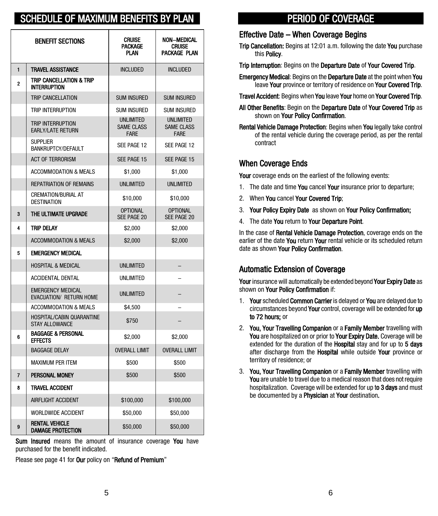# SCHEDULE OF MAXIMUM BENEFITS BY

|                | <b>BENEFIT SECTIONS</b>                                    | <b>CRUISE</b><br><b>PACKAGE</b><br><b>PLAN</b>       | <b>NON-MEDICAL</b><br><b>CRUISE</b><br>PACKAGE PLAN  |
|----------------|------------------------------------------------------------|------------------------------------------------------|------------------------------------------------------|
| 1              | <b>TRAVEL ASSISTANCE</b>                                   | <b>INCLUDED</b>                                      | <b>INCLUDED</b>                                      |
| $\overline{2}$ | TRIP CANCELLATION & TRIP<br><b>INTERRUPTION</b>            |                                                      |                                                      |
|                | TRIP CANCELLATION                                          | <b>SUM INSURED</b>                                   | <b>SUM INSURED</b>                                   |
|                | TRIP INTERRUPTION                                          | <b>SUM INSURED</b>                                   | <b>SUM INSURED</b>                                   |
|                | TRIP INTERRUPTION<br><b>EARLY/LATE RETURN</b>              | <b>UNLIMITED</b><br><b>SAME CLASS</b><br><b>FARE</b> | <b>UNLIMITED</b><br><b>SAME CLASS</b><br><b>FARE</b> |
|                | <b>SUPPLIER</b><br><b>BANKRUPTCY/DEFAULT</b>               | SEE PAGE 12                                          | SEE PAGE 12                                          |
|                | <b>ACT OF TERRORISM</b>                                    | SEE PAGE 15                                          | SEE PAGE 15                                          |
|                | <b>ACCOMMODATION &amp; MEALS</b>                           | \$1,000                                              | \$1,000                                              |
|                | <b>REPATRIATION OF REMAINS</b>                             | <b>UNLIMITED</b>                                     | <b>UNLIMITED</b>                                     |
|                | <b>CREMATION/BURIAL AT</b><br><b>DESTINATION</b>           | \$10,000                                             | \$10,000                                             |
| 3              | THE ULTIMATE UPGRADE                                       | <b>OPTIONAL</b><br>SEE PAGE 20                       | <b>OPTIONAL</b><br>SEE PAGE 20                       |
| 4              | <b>TRIP DELAY</b>                                          | \$2,000                                              | \$2,000                                              |
|                | ACCOMMODATION & MEALS                                      | \$2,000                                              | \$2,000                                              |
| 5              | <b>EMERGENCY MEDICAL</b>                                   |                                                      |                                                      |
|                | <b>HOSPITAL &amp; MEDICAL</b>                              | <b>UNLIMITED</b>                                     |                                                      |
|                | <b>ACCIDENTAL DENTAL</b>                                   | <b>UNLIMITED</b>                                     |                                                      |
|                | <b>EMERGENCY MEDICAL</b><br><b>EVACUATION/ RETURN HOME</b> | <b>UNLIMITED</b>                                     |                                                      |
|                | <b>ACCOMMODATION &amp; MEALS</b>                           | \$4,500                                              |                                                      |
|                | HOSPITAL/CABIN QUARANTINE<br><b>STAY ALLOWANCE</b>         | \$750                                                |                                                      |
| 6              | <b>BAGGAGE &amp; PERSONAL</b><br><b>EFFECTS</b>            | \$2,000                                              | \$2.000                                              |
|                | <b>BAGGAGE DELAY</b>                                       | <b>OVERALL LIMIT</b>                                 | <b>OVERALL LIMIT</b>                                 |
|                | <b>MAXIMUM PER ITEM</b>                                    | \$500                                                | \$500                                                |
| $\overline{7}$ | PERSONAL MONEY                                             | \$500                                                | \$500                                                |
| 8              | <b>TRAVEL ACCIDENT</b>                                     |                                                      |                                                      |
|                | <b>AIRFLIGHT ACCIDENT</b>                                  | \$100,000                                            | \$100,000                                            |
|                | <b>WORLDWIDE ACCIDENT</b>                                  | \$50,000                                             | \$50,000                                             |
| 9              | <b>RENTAL VEHICLE</b><br><b>DAMAGE PROTECTION</b>          | \$50,000                                             | \$50,000                                             |

 Sum Insured means the amount of insurance coverage You have purchased for the benefit indicated.

Please see page 41 for Our policy on "Refund of Premium"

# PERIOD OF COVERAGE

#### Effective Date – When Coverage Begins

Trip Cancellation: Begins at 12:01 a.m. following the date You purchase this Policy.

Trip Interruption: Begins on the Departure Date of Your Covered Trip.

**Emergency Medical: Begins on the Departure Date at the point when You** leave Your province or territory of residence on Your Covered Trip.

Travel Accident: Begins when You leave Your home on Your Covered Trip.

All Other Benefits: Begin on the Departure Date of Your Covered Trip as shown on Your Policy Confirmation.

Rental Vehicle Damage Protection: Begins when You legally take control of the rental vehicle during the coverage period, as per the rental contract

## When Coverage Ends

Your coverage ends on the earliest of the following events:

- 1. The date and time **You** cancel **Your** insurance prior to departure:
- 2. When You cancel Your Covered Trip;
- 3. Your Policy Expiry Date as shown on Your Policy Confirmation;
- 4. The date You return to Your Departure Point.

In the case of Rental Vehicle Damage Protection, coverage ends on the earlier of the date You return Your rental vehicle or its scheduled return date as shown Your Policy Confirmation.

## Automatic Extension of Coverage

Your insurance will automatically be extended beyond Your Expiry Date as shown on Your Policy Confirmation if:

- 1. Your scheduled Common Carrier is delayed or You are delayed due to circumstances beyond Your control, coverage will be extended for up to 72 hours; or
- 2. You, Your Travelling Companion or a Family Member travelling with You are hospitalized on or prior to Your Expiry Date. Coverage will be extended for the duration of the Hospital stay and for up to 5 days after discharge from the Hospital while outside Your province or territory of residence; or
- 3. You, Your Travelling Companion or a Family Member travelling with You are unable to travel due to a medical reason that does not require hospitalization. Coverage will be extended for up to 3 days and must be documented by a **Physician** at **Your** destination.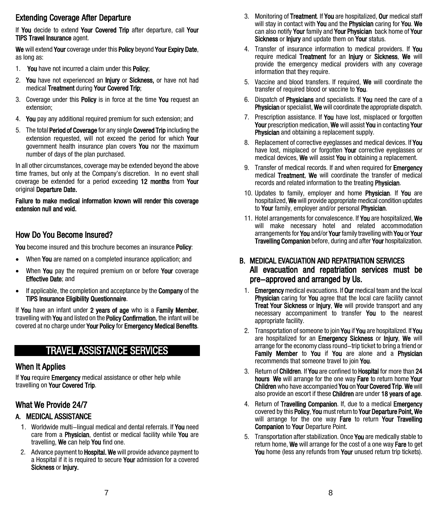## Extending Coverage After Departure

If You decide to extend Your Covered Trip after departure, call Your TIPS Travel Insurance agent.

We will extend Your coverage under this Policy beyond Your Expiry Date, as long as:

- 1. You have not incurred a claim under this Policy:
- 2. You have not experienced an Injury or Sickness, or have not had medical Treatment during Your Covered Trip;
- 3. Coverage under this **Policy** is in force at the time You request an extension;
- 4. You pay any additional required premium for such extension; and
- 5. The total Period of Coverage for any single Covered Trip including the extension requested, will not exceed the period for which Your government health insurance plan covers You nor the maximum number of days of the plan purchased.

In all other circumstances, coverage may be extended beyond the above time frames, but only at the Company's discretion. In no event shall coverage be extended for a period exceeding 12 months from Your original Departure Date.

#### Failure to make medical information known will render this coverage extension null and void.

#### How Do You Become Insured?

You become insured and this brochure becomes an insurance Policy:

- When You are named on a completed insurance application: and
- When You pay the required premium on or before Your coverage **Effective Date**: and
- If applicable, the completion and acceptance by the **Company** of the TIPS Insurance Eligibility Questionnaire.

If You have an infant under 2 years of age who is a Family Member, travelling with You and listed on the Policy Confirmation, the infant will be covered at no charge under Your Policy for Emergency Medical Benefits.

# TRAVEL ASSISTANCE SERVICES

#### When It Applies

If You require Emergency medical assistance or other help while travelling on Your Covered Trip.

# What We Provide 24/7

## A. MEDICAL ASSISTANCE

- 1. Worldwide multi-lingual medical and dental referrals. If You need care from a **Physician**, dentist or medical facility while You are travelling, We can help You find one.
- 2. Advance payment to **Hospital. We** will provide advance payment to a Hospital if it is required to secure Your admission for a covered Sickness or Injury.
- 3. Monitoring of Treatment. If You are hospitalized, Our medical staff will stay in contact with You and the Physician caring for You. We can also notify Your family and Your Physician back home of Your Sickness or *Injury* and update them on **Your** status.
- 4. Transfer of insurance information to medical providers. If You require medical Treatment for an Injury or Sickness. We will provide the emergency medical providers with any coverage information that they require.
- 5. Vaccine and blood transfers. If required, We will coordinate the transfer of required blood or vaccine to You.
- 6. Dispatch of Physicians and specialists. If You need the care of a Physician or specialist, We will coordinate the appropriate dispatch.
- 7. Prescription assistance. If **You** have lost, misplaced or forgotten Your prescription medication, We will assist You in contacting Your **Physician** and obtaining a replacement supply.
- 8. Replacement of corrective eyeglasses and medical devices. If You have lost, misplaced or forgotten Your corrective eyeglasses or medical devices. We will assist You in obtaining a replacement.
- 9. Transfer of medical records. If and when required for **Emergency** medical Treatment, We will coordinate the transfer of medical records and related information to the treating Physician.
- 10. Updates to family, employer and home Physician. If You are hospitalized, We will provide appropriate medical condition updates to Your family, employer and/or personal Physician.
- 11. Hotel arrangements for convalescence. If **You** are hospitalized. We will make necessary hotel and related accommodation arrangements for You and/or Your family travelling with You or Your Travelling Companion before, during and after Your hospitalization.

#### B. MEDICAL EVACUATION AND REPATRIATION SERVICES All evacuation and repatriation services must be pre-approved and arranged by Us.

- 1. **Emergency** medical evacuations. If **Our** medical team and the local Physician caring for You agree that the local care facility cannot Treat Your Sickness or Iniury, We will provide transport and any necessary accompaniment to transfer You to the nearest appropriate facility.
- 2. Transportation of someone to join You if You are hospitalized. If You are hospitalized for an Emergency Sickness or Injury, We will arrange for the economy class round-trip ticket to bring a friend or Family Member to You if You are alone and a Physician recommends that someone travel to join You.
- 3. Return of Children. If You are confined to Hospital for more than 24 hours We will arrange for the one way Fare to return home Your Children who have accompanied You on Your Covered Trip. We will also provide an escort if these Children are under 18 years of age.
- 4. Return of **Travelling Companion**. If, due to a medical **Emergency** covered by this Policy, You must return to Your Departure Point, We will arrange for the one way Fare to return Your Travelling Companion to Your Departure Point.
- 5. Transportation after stabilization. Once You are medically stable to return home, We will arrange for the cost of a one way Fare to get You home (less any refunds from Your unused return trip tickets).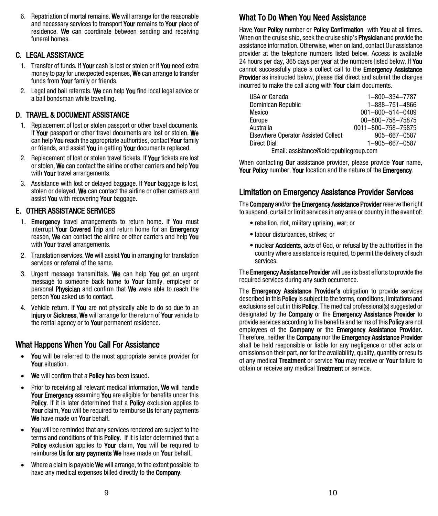6. Repatriation of mortal remains. We will arrange for the reasonable and necessary services to transport Your remains to Your place of residence. We can coordinate between sending and receiving funeral homes.

#### C. LEGAL ASSISTANCE

- 1. Transfer of funds. If Your cash is lost or stolen or if You need extra money to pay for unexpected expenses, We can arrange to transfer funds from **Your** family or friends.
- 2. Legal and bail referrals. We can help You find local legal advice or a bail bondsman while travelling.

## D. TRAVEL & DOCUMENT ASSISTANCE

- 1. Replacement of lost or stolen passport or other travel documents. If Your passport or other travel documents are lost or stolen. We can help You reach the appropriate authorities, contact Your family or friends, and assist You in getting Your documents replaced.
- 2. Replacement of lost or stolen travel tickets. If Your tickets are lost or stolen, We can contact the airline or other carriers and help You with **Your** travel arrangements.
- 3. Assistance with lost or delayed baggage. If Your baggage is lost, stolen or delayed, We can contact the airline or other carriers and assist You with recovering Your baggage.

#### E. OTHER ASSISTANCE SERVICES

- 1. **Emergency** travel arrangements to return home. If **You** must interrupt Your Covered Trip and return home for an Emergency reason, We can contact the airline or other carriers and help You with Your travel arrangements.
- 2. Translation services. We will assist You in arranging for translation services or referral of the same.
- 3. Urgent message transmittals. We can help You get an urgent message to someone back home to Your family, employer or personal Physician and confirm that We were able to reach the person You asked us to contact.
- 4. Vehicle return. If You are not physically able to do so due to an Injury or Sickness, We will arrange for the return of Your vehicle to the rental agency or to Your permanent residence.

## What Happens When You Call For Assistance

- You will be referred to the most appropriate service provider for Your situation.
- We will confirm that a Policy has been issued.
- Prior to receiving all relevant medical information, We will handle Your Emergency assuming You are eligible for benefits under this Policy. If it is later determined that a Policy exclusion applies to Your claim. You will be required to reimburse Us for any payments We have made on Your behalf.
- You will be reminded that any services rendered are subject to the terms and conditions of this Policy. If it is later determined that a Policy exclusion applies to Your claim, You will be required to reimburse Us for any payments We have made on Your behalf.
- Where a claim is payable We will arrange, to the extent possible, to have any medical expenses billed directly to the **Company.**

# What To Do When You Need Assistance

Have Your Policy number or Policy Confirmation with You at all times. When on the cruise ship, seek the cruise ship's **Physician** and provide the assistance information. Otherwise, when on land, contact Our assistance provider at the telephone numbers listed below. Access is available 24 hours per day, 365 days per year at the numbers listed below. If You cannot successfully place a collect call to the Emergency Assistance **Provider** as instructed below, please dial direct and submit the charges incurred to make the call along with Your claim documents.

| USA or Canada                              | 1-800-334-7787           |  |
|--------------------------------------------|--------------------------|--|
| Dominican Republic                         | 1-888-751-4866           |  |
| Mexico                                     | $001 - 800 - 514 - 0409$ |  |
| Europe                                     | 00-800-758-75875         |  |
| Australia                                  | 0011-800-758-75875       |  |
| <b>Elsewhere Operator Assisted Collect</b> | 905-667-0587             |  |
| Direct Dial                                | 1-905-667-0587           |  |
| Email: assistance@oldrepublicgroup.com     |                          |  |

When contacting Our assistance provider, please provide Your name, Your Policy number. Your location and the nature of the Emergency.

## Limitation on Emergency Assistance Provider Services

The Company and/or the Emergency Assistance Provider reserve the right to suspend, curtail or limit services in any area or country in the event of:

- rebellion, riot, military uprising, war; or
- labour disturbances, strikes; or
- nuclear Accidents, acts of God, or refusal by the authorities in the country where assistance is required, to permit the delivery of such services.

The **Emergency Assistance Provider** will use its best efforts to provide the required services during any such occurrence.

The **Emergency Assistance Provider's** obligation to provide services described in this Policy is subject to the terms, conditions, limitations and exclusions set out in this **Policy**. The medical professional(s) suggested or designated by the Company or the Emergency Assistance Provider to provide services according to the benefits and terms of this **Policy** are not employees of the **Company** or the **Emergency Assistance Provider.** Therefore, neither the Company nor the Emergency Assistance Provider shall be held responsible or liable for any negligence or other acts or omissions on their part, nor for the availability, quality, quantity or results of any medical Treatment or service You may receive or Your failure to obtain or receive any medical **Treatment** or service.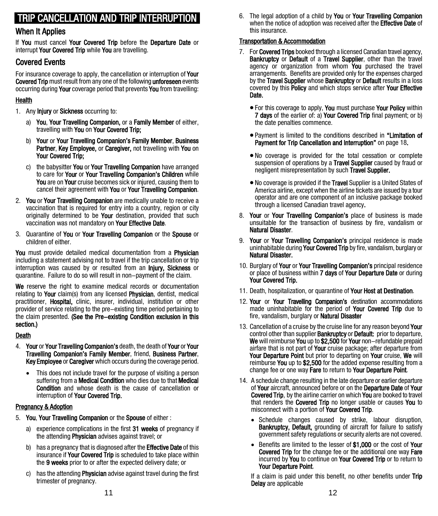# TRIP CANCELLATION AND TRIP INTERRUPTION

#### When It Applies

If You must cancel Your Covered Trip before the Departure Date or interrupt Your Covered Trip while You are travelling.

#### Covered Events

For insurance coverage to apply, the cancellation or interruption of Your Covered Trip must result from any one of the following unforeseen events occurring during Your coverage period that prevents You from travelling:

#### Health

- 1. Any **Injury** or **Sickness** occurring to:
	- a) You, Your Travelling Companion, or a Family Member of either, travelling with You on Your Covered Trip;
	- b) Your or Your Travelling Companion's Family Member, Business Partner, Key Employee, or Caregiver, not travelling with You on Your Covered Trip;
	- c) the babysitter You or Your Travelling Companion have arranged to care for Your or Your Travelling Companion's Children while You are on Your cruise becomes sick or injured, causing them to cancel their agreement with You or Your Travelling Companion.
- 2. You or Your Travelling Companion are medically unable to receive a vaccination that is required for entry into a country, region or city originally determined to be Your destination, provided that such vaccination was not mandatory on Your Effective Date.
- 3. Quarantine of You or Your Travelling Companion or the Spouse or children of either.

You must provide detailed medical documentation from a **Physician** including a statement advising not to travel if the trip cancellation or trip interruption was caused by or resulted from an **Injury. Sickness** or quarantine. Failure to do so will result in non-payment of the claim.

We reserve the right to examine medical records or documentation relating to Your claim(s) from any licensed Physician, dentist, medical practitioner, **Hospital**, clinic, insurer, individual, institution or other provider of service relating to the pre-existing time period pertaining to the claim presented. (See the Pre-existing Condition exclusion in this section.)

#### Death

- 4. Your or Your Travelling Companion's death, the death of Your or Your Travelling Companion's Family Member, friend, Business Partner, Key Employee or Caregiver which occurs during the coverage period.
	- This does not include travel for the purpose of visiting a person suffering from a **Medical Condition** who dies due to that Medical Condition and whose death is the cause of cancellation or interruption of Your Covered Trip.

#### Pregnancy & Adoption

- 5. You, Your Travelling Companion or the Spouse of either :
	- a) experience complications in the first 31 weeks of pregnancy if the attending **Physician** advises against travel; or
	- b) has a pregnancy that is diagnosed after the **Effective Date** of this insurance if Your Covered Trip is scheduled to take place within the 9 weeks prior to or after the expected delivery date; or
	- c) has the attending **Physician** advise against travel during the first trimester of pregnancy.

6. The legal adoption of a child by You or Your Travelling Companion when the notice of adoption was received after the **Effective Date** of this insurance.

#### Transportation & Accommodation

- 7. For Covered Trips booked through a licensed Canadian travel agency, Bankruptcy or Default of a Travel Supplier, other than the travel agency or organization from whom You purchased the travel arrangements. Benefits are provided only for the expenses charged by the Travel Supplier whose Bankruptcy or Default results in a loss covered by this Policy and which stops service after Your Effective Date.
	- For this coverage to apply, You must purchase Your Policy within 7 days of the earlier of: a) Your Covered Trip final payment; or b) the date penalties commence.
	- Payment is limited to the conditions described in "Limitation of Payment for Trip Cancellation and Interruption" on page 18.
	- No coverage is provided for the total cessation or complete suspension of operations by a **Travel Supplier** caused by fraud or negligent misrepresentation by such Travel Supplier.
	- No coverage is provided if the Travel Supplier is a United States of America airline, except when the airline tickets are issued by a tour operator and are one component of an inclusive package booked through a licensed Canadian travel agency.
- 8. Your or Your Travelling Companion's place of business is made unsuitable for the transaction of business by fire, vandalism or Natural Disaster.
- 9. Your or Your Travelling Companion's principal residence is made uninhabitable during **Your Covered Trip** by fire, vandalism, burglary or Natural Disaster.
- 10. Burglary of Your or Your Travelling Companion's principal residence or place of business within **7 days** of **Your Departure Date** or during Your Covered Trip.
- 11. Death, hospitalization, or quarantine of **Your Host at Destination**.
- 12. Your or Your Travelling Companion's destination accommodations made uninhabitable for the period of Your Covered Trip due to fire, vandalism, burglary or **Natural Disaster**
- 13. Cancellation of a cruise by the cruise line for any reason beyond Your control other than supplier **Bankruptcy** or **Default:** prior to departure, We will reimburse You up to \$2,500 for Your non-refundable prepaid airfare that is not part of Your cruise package; after departure from Your Departure Point but prior to departing on Your cruise, We will reimburse You up to \$2,500 for the added expense resulting from a change fee or one way Fare to return to Your Departure Point.
- 14. A schedule change resulting in the late departure or earlier departure of Your aircraft, announced before or on the Departure Date of Your Covered Trip, by the airline carrier on which You are booked to travel that renders the **Covered Trip** no longer usable or causes You to misconnect with a portion of Your Covered Trip.
	- Schedule changes caused by strike, labour disruption, Bankruptcy, Default, grounding of aircraft for failure to satisfy government safety regulations or security alerts are not covered.
	- Benefits are limited to the lesser of \$1,000 or the cost of Your Covered Trip for the change fee or the additional one way Fare incurred by You to continue on Your Covered Trip or to return to Your Departure Point.

If a claim is paid under this benefit, no other benefits under Trip Delay are applicable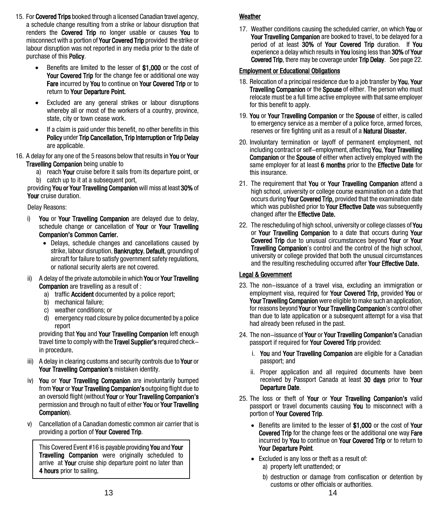- 15. For Covered Trips booked through a licensed Canadian travel agency, a schedule change resulting from a strike or labour disruption that renders the **Covered Trip** no longer usable or causes You to misconnect with a portion of **Your Covered Trip** provided the strike or labour disruption was not reported in any media prior to the date of purchase of this **Policy**.
	- Benefits are limited to the lesser of \$1,000 or the cost of Your Covered Trip for the change fee or additional one way Fare incurred by You to continue on Your Covered Trip or to return to Your Departure Point.
	- Excluded are any general strikes or labour disruptions whereby all or most of the workers of a country, province, state, city or town cease work.
	- If a claim is paid under this benefit, no other benefits in this Policy under Trip Cancellation, Trip Interruption or Trip Delay are applicable.
- 16. A delay for any one of the 5 reasons below that results in You or Your Travelling Companion being unable to
	- a) reach **Your** cruise before it sails from its departure point, or b) catch up to it at a subsequent port,

providing You or Your Travelling Companion will miss at least 30% of Your cruise duration.

Delay Reasons:

- i) You or Your Travelling Companion are delayed due to delay, schedule change or cancellation of Your or Your Travelling Companion's Common Carrier.
	- Delays, schedule changes and cancellations caused by strike, labour disruption, Bankruptcy, Default, grounding of aircraft for failure to satisfy government safety regulations, or national security alerts are not covered.
- A delay of the private automobile in which You or Your Travelling Companion are travelling as a result of :
	- a) traffic **Accident** documented by a police report:
	- b) mechanical failure;
	- c) weather conditions; or
	- d) emergency road closure by police documented by a police report

providing that You and Your Travelling Companion left enough travel time to comply with the Travel Supplier's required checkin procedure.

- iii) A delay in clearing customs and security controls due to Your or Your Travelling Companion's mistaken identity.
- iv) You or Your Travelling Companion are involuntarily bumped from Your or Your Travelling Companion's outgoing flight due to an oversold flight (without Your or Your Travelling Companion's permission and through no fault of either You or Your Travelling Companion).
- v) Cancellation of a Canadian domestic common air carrier that is providing a portion of Your Covered Trip.

This Covered Event #16 is payable providing You and Your **Travelling Companion** were originally scheduled to arrive at Your cruise ship departure point no later than 4 hours prior to sailing.

#### Weather

17. Weather conditions causing the scheduled carrier, on which You or Your Travelling Companion are booked to travel, to be delayed for a period of at least 30% of Your Covered Trip duration. If You experience a delay which results in You losing less than 30% of Your Covered Trip, there may be coverage under Trip Delay. See page 22.

#### Employment or Educational Obligations

- 18. Relocation of a principal residence due to a job transfer by You, Your **Travelling Companion** or the **Spouse** of either. The person who must relocate must be a full time active employee with that same employer for this benefit to apply.
- 19. You or Your Travelling Companion or the Spouse of either, is called to emergency service as a member of a police force, armed forces, reserves or fire fighting unit as a result of a **Natural Disaster.**
- 20. Involuntary termination or layoff of permanent employment, not including contract or self-employment, affecting You, Your Travelling Companion or the Spouse of either when actively employed with the same employer for at least 6 months prior to the Effective Date for this insurance.
- 21. The requirement that You or Your Travelling Companion attend a high school, university or college course examination on a date that occurs during Your Covered Trip, provided that the examination date which was published prior to Your Effective Date was subsequently changed after the Effective Date.
- 22. The rescheduling of high school, university or college classes of You or Your Travelling Companion to a date that occurs during Your Covered Trip due to unusual circumstances beyond Your or Your **Travelling Companion**'s control and the control of the high school, university or college provided that both the unusual circumstances and the resulting rescheduling occurred after Your Effective Date.

#### Legal & Government

- 23. The non-issuance of a travel visa, excluding an immigration or employment visa, required for Your Covered Trip, provided You or Your Travelling Companion were eligible to make such an application. for reasons beyond Your or Your Travelling Companion's control other than due to late application or a subsequent attempt for a visa that had already been refused in the past.
- 24. The non-issuance of Your or Your Travelling Companion's Canadian passport if required for **Your Covered Trip** provided:
	- i. You and Your Travelling Companion are eligible for a Canadian passport; and
	- ii. Proper application and all required documents have been received by Passport Canada at least 30 days prior to Your Departure Date.
- 25. The loss or theft of Your or Your Travelling Companion's valid passport or travel documents causing You to misconnect with a portion of Your Covered Trip.
	- Benefits are limited to the lesser of \$1,000 or the cost of Your Covered Trip for the change fees or the additional one way Fare incurred by You to continue on Your Covered Trip or to return to Your Departure Point.
	- Excluded is any loss or theft as a result of:
		- a) property left unattended; or
		- b) destruction or damage from confiscation or detention by customs or other officials or authorities.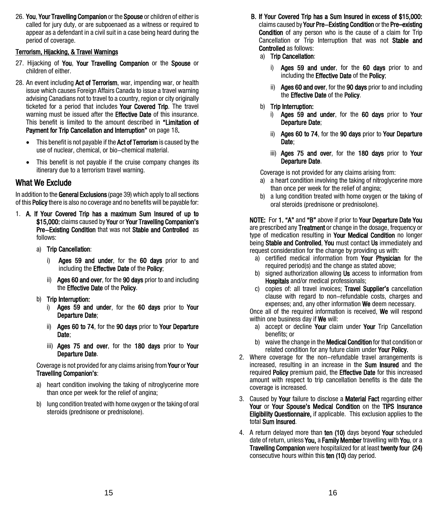26. You, Your Travelling Companion or the Spouse or children of either is called for jury duty, or are subpoenaed as a witness or required to appear as a defendant in a civil suit in a case being heard during the period of coverage.

#### Terrorism, Hijacking, & Travel Warnings

- 27. Hijacking of You, Your Travelling Companion or the Spouse or children of either.
- 28. An event including Act of Terrorism, war, impending war, or health issue which causes Foreign Affairs Canada to issue a travel warning advising Canadians not to travel to a country, region or city originally ticketed for a period that includes Your Covered Trip. The travel warning must be issued after the **Effective Date** of this insurance. This benefit is limited to the amount described in "Limitation of Payment for Trip Cancellation and Interruption" on page 18.
	- This benefit is not payable if the **Act of Terrorism** is caused by the use of nuclear, chemical, or bio-chemical material.
	- This benefit is not payable if the cruise company changes its itinerary due to a terrorism travel warning.

## What We Exclude

In addition to the General Exclusions (page 39) which apply to all sections of this Policy there is also no coverage and no benefits will be payable for:

- 1. A. If Your Covered Trip has a maximum Sum Insured of up to \$15,000: claims caused by Your or Your Travelling Companion's Pre-Existing Condition that was not Stable and Controlled as follows:
	- a) Trip Cancellation:
		- i) Ages 59 and under, for the 60 days prior to and including the **Effective Date** of the **Policy**;
		- ii) Ages 60 and over, for the 90 days prior to and including the Effective Date of the Policy.
	- b) Trip Interruption:
		- i) Ages 59 and under, for the 60 days prior to Your Departure Date;
		- ii) Ages 60 to 74, for the 90 days prior to Your Departure Date:
		- iii) Ages 75 and over, for the 180 days prior to Your Departure Date.

#### Coverage is not provided for any claims arising from Your or Your Travelling Companion's:

- a) heart condition involving the taking of nitroglycerine more than once per week for the relief of angina;
- b) lung condition treated with home oxygen or the taking of oral steroids (prednisone or prednisolone).
- B. If Your Covered Trip has a Sum Insured in excess of \$15,000: claims caused by Your Pre-Existing Condition or the Pre-existing **Condition** of any person who is the cause of a claim for Trip Cancellation or Trip Interruption that was not Stable and Controlled as follows:
	- a) Trip Cancellation:
		- i) Ages 59 and under, for the 60 days prior to and including the **Effective Date** of the **Policy**:
		- ii) Ages 60 and over, for the 90 days prior to and including the Effective Date of the Policy.

#### b) Trip Interruption:

- i) Ages 59 and under, for the 60 days prior to Your Departure Date;
- ii) Ages 60 to 74, for the 90 days prior to Your Departure Date:
- iii) Ages 75 and over, for the 180 days prior to Your Departure Date.

Coverage is not provided for any claims arising from:

- a) a heart condition involving the taking of nitroglycerine more than once per week for the relief of angina;
- b) a lung condition treated with home oxygen or the taking of oral steroids (prednisone or prednisolone).

NOTE: For 1. "A" and "B" above if prior to Your Departure Date You are prescribed any Treatment or change in the dosage, frequency or type of medication resulting in Your Medical Condition no longer being Stable and Controlled, You must contact Us immediately and request consideration for the change by providing us with:

- a) certified medical information from Your Physician for the required period(s) and the change as stated above;
- b) signed authorization allowing Us access to information from Hospitals and/or medical professionals;
- c) copies of: all travel invoices; Travel Supplier's cancellation clause with regard to non-refundable costs, charges and expenses; and, any other information We deem necessary.

Once all of the required information is received, We will respond within one business day if We will:

- a) accept or decline Your claim under Your Trip Cancellation benefits; or
- b) waive the change in the **Medical Condition** for that condition or related condition for any future claim under Your Policy.
- 2. Where coverage for the non-refundable travel arrangements is increased, resulting in an increase in the **Sum Insured** and the required Policy premium paid, the Effective Date for this increased amount with respect to trip cancellation benefits is the date the coverage is increased.
- 3. Caused by Your failure to disclose a Material Fact regarding either Your or Your Spouse's Medical Condition on the TIPS Insurance Eligibility Questionnaire, if applicable. This exclusion applies to the total Sum Insured.
- 4. A return delayed more than ten (10) days beyond Your scheduled date of return, unless You, a Family Member travelling with You, or a Travelling Companion were hospitalized for at least twenty four (24) consecutive hours within this ten (10) day period.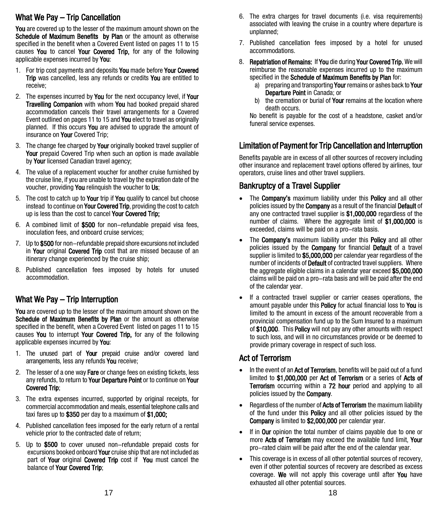## What We Pay – Trip Cancellation

You are covered up to the lesser of the maximum amount shown on the Schedule of Maximum Benefits by Plan or the amount as otherwise specified in the benefit when a Covered Event listed on pages 11 to 15 causes You to cancel Your Covered Trip, for any of the following applicable expenses incurred by You:

- 1. For trip cost payments and deposits You made before Your Covered Trip was cancelled, less any refunds or credits You are entitled to receive;
- 2. The expenses incurred by You for the next occupancy level, if Your **Travelling Companion** with whom **You** had booked prepaid shared accommodation cancels their travel arrangements for a Covered Event outlined on pages 11 to 15 and You elect to travel as originally planned. If this occurs You are advised to upgrade the amount of insurance on **Your** Covered Trip;
- 3. The change fee charged by Your originally booked travel supplier of Your prepaid Covered Trip when such an option is made available by Your licensed Canadian travel agency;
- 4. The value of a replacement voucher for another cruise furnished by the cruise line, if you are unable to travel by the expiration date of the voucher, providing You relinquish the voucher to Us;
- 5. The cost to catch up to Your trip if You qualify to cancel but choose instead to continue on **Your Covered Trip**, providing the cost to catch up is less than the cost to cancel Your Covered Trip:
- 6. A combined limit of \$500 for non-refundable prepaid visa fees, inoculation fees, and onboard cruise services;
- 7. Up to \$500 for non-refundable prepaid shore excursions not included in Your original Covered Trip cost that are missed because of an itinerary change experienced by the cruise ship;
- 8. Published cancellation fees imposed by hotels for unused accommodation.

## What We Pay – Trip Interruption

You are covered up to the lesser of the maximum amount shown on the Schedule of Maximum Benefits by Plan or the amount as otherwise specified in the benefit, when a Covered Event listed on pages 11 to 15 causes You to interrupt Your Covered Trip, for any of the following applicable expenses incurred by You:

- 1. The unused part of Your prepaid cruise and/or covered land arrangements, less any refunds You receive:
- 2. The lesser of a one way Fare or change fees on existing tickets, less any refunds, to return to Your Departure Point or to continue on Your Covered Trip;
- 3. The extra expenses incurred, supported by original receipts, for commercial accommodation and meals, essential telephone calls and taxi fares up to \$350 per day to a maximum of \$1,000;
- 4. Published cancellation fees imposed for the early return of a rental vehicle prior to the contracted date of return;
- 5. Up to \$500 to cover unused non-refundable prepaid costs for excursions booked onboard **Your** cruise ship that are not included as part of Your original Covered Trip cost if You must cancel the balance of Your Covered Trip;
- 6. The extra charges for travel documents (i.e. visa requirements) associated with leaving the cruise in a country where departure is unplanned;
- 7. Published cancellation fees imposed by a hotel for unused accommodations.
- 8. Repatriation of Remains: If You die during Your Covered Trip, We will reimburse the reasonable expenses incurred up to the maximum specified in the Schedule of Maximum Benefits by Plan for:
	- a) preparing and transporting Your remains or ashes back to Your Departure Point in Canada; or
	- b) the cremation or burial of **Your** remains at the location where death occurs.

No benefit is payable for the cost of a headstone, casket and/or funeral service expenses.

## Limitation of Payment for Trip Cancellation and Interruption

Benefits payable are in excess of all other sources of recovery including other insurance and replacement travel options offered by airlines, tour operators, cruise lines and other travel suppliers.

# Bankruptcy of a Travel Supplier

- The **Company's** maximum liability under this **Policy** and all other policies issued by the **Company** as a result of the financial **Default** of any one contracted travel supplier is \$1,000,000 regardless of the number of claims. Where the aggregate limit of \$1,000,000 is exceeded, claims will be paid on a pro-rata basis.
- The **Company's** maximum liability under this **Policy** and all other policies issued by the **Company** for financial **Default** of a travel supplier is limited to \$5,000,000 per calendar year regardless of the number of incidents of **Default** of contracted travel suppliers. Where the aggregate eligible claims in a calendar year exceed \$5,000,000 claims will be paid on a pro-rata basis and will be paid after the end of the calendar year.
- If a contracted travel supplier or carrier ceases operations, the amount payable under this **Policy** for actual financial loss to You is limited to the amount in excess of the amount recoverable from a provincial compensation fund up to the Sum Insured to a maximum of \$10,000. This Policy will not pay any other amounts with respect to such loss, and will in no circumstances provide or be deemed to provide primary coverage in respect of such loss.

#### Act of Terrorism

- In the event of an **Act of Terrorism**, benefits will be paid out of a fund limited to \$1,000,000 per Act of Terrorism or a series of Acts of Terrorism occurring within a 72 hour period and applying to all policies issued by the Company.
- Regardless of the number of **Acts of Terrorism** the maximum liability of the fund under this Policy and all other policies issued by the Company is limited to \$2,000,000 per calendar year.
- If in Our opinion the total number of claims payable due to one or more Acts of Terrorism may exceed the available fund limit, Your pro-rated claim will be paid after the end of the calendar year.
- This coverage is in excess of all other potential sources of recovery, even if other potential sources of recovery are described as excess coverage. We will not apply this coverage until after You have exhausted all other potential sources.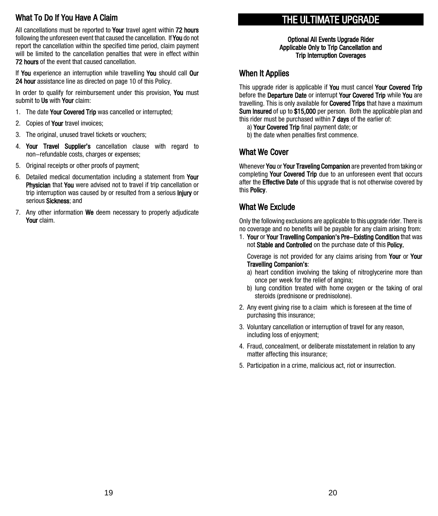## What To Do If You Have A Claim

All cancellations must be reported to Your travel agent within 72 hours following the unforeseen event that caused the cancellation. If **You** do not report the cancellation within the specified time period, claim payment will be limited to the cancellation penalties that were in effect within 72 hours of the event that caused cancellation.

If You experience an interruption while travelling You should call Our 24 hour assistance line as directed on page 10 of this Policy.

In order to qualify for reimbursement under this provision. You must submit to Us with Your claim:

- 1. The date Your Covered Trip was cancelled or interrupted;
- 2. Copies of Your travel invoices;
- 3. The original, unused travel tickets or vouchers;
- 4. Your Travel Supplier's cancellation clause with regard to non-refundable costs, charges or expenses;
- 5. Original receipts or other proofs of payment;
- 6. Detailed medical documentation including a statement from Your Physician that You were advised not to travel if trip cancellation or trip interruption was caused by or resulted from a serious **Injury** or serious Sickness: and
- 7. Any other information We deem necessary to properly adjudicate Your claim.

# THE ULTIMATE UPGRADE Optional All Events Upgrade Rider

Applicable Only to Trip Cancellation and Trip Interruption Coverages

#### When It Applies

This upgrade rider is applicable if **You** must cancel **Your Covered Trip** before the Departure Date or interrupt Your Covered Trip while You are travelling. This is only available for **Covered Trips** that have a maximum Sum Insured of up to \$15,000 per person. Both the applicable plan and this rider must be purchased within 7 days of the earlier of:

- a) Your Covered Trip final payment date; or
- b) the date when penalties first commence.

#### What We Cover

Whenever You or Your Traveling Companion are prevented from taking or completing Your Covered Trip due to an unforeseen event that occurs after the **Effective Date** of this upgrade that is not otherwise covered by this Policy.

## What We Exclude

Only the following exclusions are applicable to this upgrade rider. There is no coverage and no benefits will be payable for any claim arising from:

1. Your or Your Travelling Companion's Pre-Existing Condition that was not Stable and Controlled on the purchase date of this Policy.

Coverage is not provided for any claims arising from Your or Your Travelling Companion's:

- a) heart condition involving the taking of nitroglycerine more than once per week for the relief of angina;
- b) lung condition treated with home oxygen or the taking of oral steroids (prednisone or prednisolone).
- 2. Any event giving rise to a claim which is foreseen at the time of purchasing this insurance;
- 3. Voluntary cancellation or interruption of travel for any reason, including loss of enjoyment;
- 4. Fraud, concealment, or deliberate misstatement in relation to any matter affecting this insurance;
- 5. Participation in a crime, malicious act, riot or insurrection.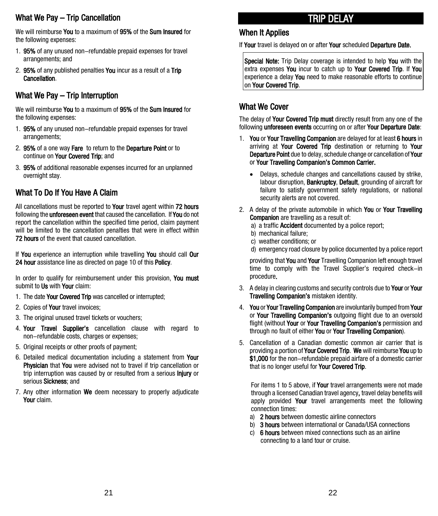## What We Pay – Trip Cancellation

We will reimburse You to a maximum of 95% of the Sum Insured for the following expenses:

- 1. 95% of any unused non-refundable prepaid expenses for travel arrangements; and
- 2. 95% of any published penalties You incur as a result of a Trip Cancellation.

## What We Pay – Trip Interruption

We will reimburse You to a maximum of 95% of the Sum Insured for the following expenses:

- 1. 95% of any unused non-refundable prepaid expenses for travel arrangements;
- 2. 95% of a one way Fare to return to the Departure Point or to continue on Your Covered Trip; and
- 3. 95% of additional reasonable expenses incurred for an unplanned overnight stay.

## What To Do If You Have A Claim

All cancellations must be reported to Your travel agent within 72 hours following the **unforeseen event** that caused the cancellation. If **You** do not report the cancellation within the specified time period, claim payment will be limited to the cancellation penalties that were in effect within 72 hours of the event that caused cancellation.

If You experience an interruption while travelling You should call Our 24 hour assistance line as directed on page 10 of this Policy.

In order to qualify for reimbursement under this provision, You must submit to Us with Your claim:

- 1. The date Your Covered Trip was cancelled or interrupted;
- 2. Copies of **Your** travel invoices:
- 3. The original unused travel tickets or vouchers;
- 4. Your Travel Supplier's cancellation clause with regard to non-refundable costs, charges or expenses;
- 5. Original receipts or other proofs of payment;
- 6. Detailed medical documentation including a statement from Your Physician that You were advised not to travel if trip cancellation or trip interruption was caused by or resulted from a serious *lniury* or serious Sickness: and
- 7. Any other information We deem necessary to properly adjudicate Your claim.

# TRIP DELAY

#### When It Applies

If Your travel is delayed on or after Your scheduled Departure Date.

Special Note: Trip Delay coverage is intended to help You with the extra expenses You incur to catch up to Your Covered Trip. If You experience a delay You need to make reasonable efforts to continue on Your Covered Trip.

#### What We Cover

The delay of Your Covered Trip must directly result from any one of the following unforeseen events occurring on or after Your Departure Date:

- 1. You or Your Travelling Companion are delayed for at least 6 hours in arriving at Your Covered Trip destination or returning to Your Departure Point due to delay, schedule change or cancellation of Your or Your Travelling Companion's Common Carrier.
	- Delays, schedule changes and cancellations caused by strike, labour disruption, **Bankruptcy, Default**, grounding of aircraft for failure to satisfy government safety regulations, or national security alerts are not covered.
- 2. A delay of the private automobile in which You or Your Travelling Companion are travelling as a result of:
	- a) a traffic **Accident** documented by a police report;
	- b) mechanical failure;
	- c) weather conditions; or
	- d) emergency road closure by police documented by a police report

providing that You and Your Travelling Companion left enough travel time to comply with the Travel Supplier's required check-in procedure.

- 3. A delay in clearing customs and security controls due to Your or Your Travelling Companion's mistaken identity.
- 4. You or Your Travelling Companion are involuntarily bumped from Your or Your Travelling Companion's outgoing flight due to an oversold flight (without Your or Your Travelling Companion's permission and through no fault of either You or Your Travelling Companion).
- 5. Cancellation of a Canadian domestic common air carrier that is providing a portion of Your Covered Trip. We will reimburse You up to \$1,000 for the non-refundable prepaid airfare of a domestic carrier that is no longer useful for **Your Covered Trip.**

For items 1 to 5 above, if Your travel arrangements were not made through a licensed Canadian travel agency, travel delay benefits will apply provided Your travel arrangements meet the following connection times:

- a) 2 hours between domestic airline connectors
- b) 3 hours between international or Canada/USA connections
- c) 6 hours between mixed connections such as an airline connecting to a land tour or cruise.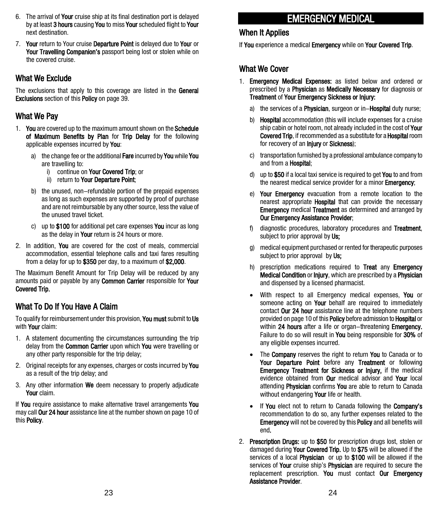- 6. The arrival of Your cruise ship at its final destination port is delayed by at least 3 hours causing You to miss Your scheduled flight to Your next destination.
- 7. Your return to Your cruise Departure Point is delayed due to Your or Your Travelling Companion's passport being lost or stolen while on the covered cruise.

#### What We Exclude

The exclusions that apply to this coverage are listed in the General Exclusions section of this Policy on page 39.

## What We Pay

- 1. You are covered up to the maximum amount shown on the Schedule of Maximum Benefits by Plan for Trip Delay for the following applicable expenses incurred by You:
	- a) the change fee or the additional Fare incurred by You while You are travelling to:
		- i) continue on Your Covered Trip: or
		- ii) return to Your Departure Point;
	- b) the unused, non-refundable portion of the prepaid expenses as long as such expenses are supported by proof of purchase and are not reimbursable by any other source, less the value of the unused travel ticket.
	- c) up to \$100 for additional pet care expenses You incur as long as the delay in Your return is 24 hours or more.
- 2. In addition, **You** are covered for the cost of meals, commercial accommodation, essential telephone calls and taxi fares resulting from a delay for up to \$350 per day, to a maximum of \$2,000.

The Maximum Benefit Amount for Trip Delay will be reduced by any amounts paid or payable by any Common Carrier responsible for Your Covered Trip.

## What To Do If You Have A Claim

To qualify for reimbursement under this provision, You must submit to Us with Your claim:

- 1. A statement documenting the circumstances surrounding the trip delay from the **Common Carrier** upon which **You** were travelling or any other party responsible for the trip delay;
- 2. Original receipts for any expenses, charges or costs incurred by You as a result of the trip delay; and
- 3. Any other information **We** deem necessary to properly adjudicate Your claim.

If You require assistance to make alternative travel arrangements You may call Our 24 hour assistance line at the number shown on page 10 of this Policy.

# EMERGENCY MEDICAL

#### When It Applies

If You experience a medical Emergency while on Your Covered Trip.

#### What We Cover

- 1. Emergency Medical Expenses: as listed below and ordered or prescribed by a **Physician** as **Medically Necessary** for diagnosis or Treatment of Your Emergency Sickness or Injury:
	- a) the services of a **Physician**, surgeon or in-**Hospital** duty nurse;
	- b) Hospital accommodation (this will include expenses for a cruise ship cabin or hotel room, not already included in the cost of Your Covered Trip, if recommended as a substitute for a Hospital room for recovery of an **Injury** or **Sickness**);
	- c) transportation furnished by a professional ambulance company to and from a Hospital;
	- d) up to  $$50$  if a local taxi service is required to get You to and from the nearest medical service provider for a minor **Emergency**:
	- e) Your Emergency evacuation from a remote location to the nearest appropriate **Hospital** that can provide the necessary **Emergency** medical Treatment as determined and arranged by Our Emergency Assistance Provider;
	- f) diagnostic procedures, laboratory procedures and Treatment, subject to prior approval by Us:
	- g) medical equipment purchased or rented for therapeutic purposes subject to prior approval by Us;
	- h) prescription medications required to Treat any Emergency Medical Condition or Injury, which are prescribed by a Physician and dispensed by a licensed pharmacist.
	- With respect to all Emergency medical expenses, You or someone acting on Your behalf are required to immediately contact Our 24 hour assistance line at the telephone numbers provided on page 10 of this Policy before admission to Hospital or within 24 hours after a life or organ-threatening Emergency. Failure to do so will result in You being responsible for 30% of any eligible expenses incurred.
	- The **Company** reserves the right to return **You** to Canada or to Your Departure Point before any Treatment or following Emergency Treatment for Sickness or Injury, if the medical evidence obtained from Our medical advisor and Your local attending **Physician** confirms You are able to return to Canada without endangering Your life or health.
	- If You elect not to return to Canada following the Company's recommendation to do so, any further expenses related to the **Emergency** will not be covered by this **Policy** and all benefits will end.
- 2. Prescription Drugs: up to \$50 for prescription drugs lost, stolen or damaged during Your Covered Trip. Up to \$75 will be allowed if the services of a local **Physician** or up to \$100 will be allowed if the services of Your cruise ship's Physician are required to secure the replacement prescription. You must contact Our Emergency Assistance Provider.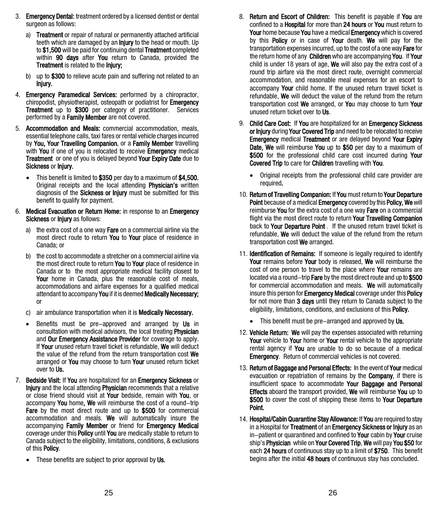- 3. Emergency Dental: treatment ordered by a licensed dentist or dental surgeon as follows:
	- a) Treatment or repair of natural or permanently attached artificial teeth which are damaged by an **Injury** to the head or mouth. Up to \$1,500 will be paid for continuing dental Treatment completed within 90 days after You return to Canada, provided the Treatment is related to the Injury;
	- b) up to \$300 to relieve acute pain and suffering not related to an Injury.
- 4. Emergency Paramedical Services: performed by a chiropractor, chiropodist, physiotherapist, osteopath or podiatrist for Emergency **Treatment** up to \$300 per category of practitioner. Services performed by a Family Member are not covered.
- 5. Accommodation and Meals: commercial accommodation, meals, essential telephone calls, taxi fares or rental vehicle charges incurred by You, Your Travelling Companion, or a Family Member travelling with You if one of you is relocated to receive **Emergency** medical Treatment or one of you is delayed beyond Your Expiry Date due to Sickness or Injury.
	- This benefit is limited to \$350 per day to a maximum of \$4,500. Original receipts and the local attending Physician's written diagnosis of the **Sickness or Injury** must be submitted for this benefit to qualify for payment.
- 6. Medical Evacuation or Return Home: in response to an Emergency Sickness or Iniury as follows:
	- a) the extra cost of a one way **Fare** on a commercial airline via the most direct route to return **You** to **Your** place of residence in Canada; or
	- b) the cost to accommodate a stretcher on a commercial airline via the most direct route to return You to Your place of residence in Canada or to the most appropriate medical facility closest to Your home in Canada, plus the reasonable cost of meals, accommodations and airfare expenses for a qualified medical attendant to accompany You if it is deemed Medically Necessary; or
	- c) air ambulance transportation when it is **Medically Necessary.**
	- Benefits must be pre-approved and arranged by Us in consultation with medical advisors, the local treating **Physician** and Our Emergency Assistance Provider for coverage to apply. If Your unused return travel ticket is refundable, We will deduct the value of the refund from the return transportation cost We arranged or **You** may choose to turn **Your** unused return ticket over to Us.
- 7. Bedside Visit: If You are hospitalized for an Emergency Sickness or **Injury** and the local attending **Physician** recommends that a relative or close friend should visit at Your bedside, remain with You, or accompany You home, We will reimburse the cost of a round-trip Fare by the most direct route and up to \$500 for commercial accommodation and meals. We will automatically insure the accompanying Family Member or friend for Emergency Medical coverage under this **Policy** until You are medically stable to return to Canada subject to the eligibility, limitations, conditions, & exclusions of this **Policy**.
	- These benefits are subject to prior approval by Us.
- 8. Return and Escort of Children: This benefit is payable if You are confined to a Hospital for more than 24 hours or You must return to Your home because You have a medical Emergency which is covered by this **Policy** or in case of **Your** death. We will pay for the transportation expenses incurred, up to the cost of a one way Fare for the return home of any Children who are accompanying You. If Your child is under 18 years of age, We will also pay the extra cost of a round trip airfare via the most direct route, overnight commercial accommodation, and reasonable meal expenses for an escort to accompany Your child home. If the unused return travel ticket is refundable, We will deduct the value of the refund from the return transportation cost We arranged, or You may choose to turn Your unused return ticket over to Us.
- 9. Child Care Cost: If You are hospitalized for an Emergency Sickness or Injury during Your Covered Trip and need to be relocated to receive **Emergency** medical Treatment or are delayed beyond Your Expiry Date. We will reimburse You up to \$50 per day to a maximum of \$500 for the professional child care cost incurred during Your Covered Trip to care for Children travelling with You.
	- Original receipts from the professional child care provider are required.
- 10. Return of Travelling Companion: If You must return to Your Departure Point because of a medical Emergency covered by this Policy, We will reimburse You for the extra cost of a one way Fare on a commercial flight via the most direct route to return **Your Travelling Companion** back to Your Departure Point . If the unused return travel ticket is refundable, We will deduct the value of the refund from the return transportation cost We arranged.
- 11. Identification of Remains: If someone is legally required to identify Your remains before Your body is released. We will reimburse the cost of one person to travel to the place where Your remains are located via a round-trip **Fare** by the most direct route and up to \$500 for commercial accommodation and meals. We will automatically insure this person for **Emergency Medical** coverage under this **Policy** for not more than 3 days until they return to Canada subject to the eligibility, limitations, conditions, and exclusions of this Policy.
	- This benefit must be pre–arranged and approved by Us.
- 12. Vehicle Return: We will pay the expenses associated with returning Your vehicle to Your home or Your rental vehicle to the appropriate rental agency if **You** are unable to do so because of a medical **Emergency.** Return of commercial vehicles is not covered.
- 13. Return of Baggage and Personal Effects: In the event of Your medical evacuation or repatriation of remains by the **Company**, if there is insufficient space to accommodate Your Baggage and Personal **Effects** aboard the transport provided. We will reimburse You up to \$500 to cover the cost of shipping these items to Your Departure Point.
- 14. Hospital/Cabin Quarantine Stay Allowance: If You are required to stay in a Hospital for Treatment of an Emergency Sickness or Injury as an in-patient or quarantined and confined to Your cabin by Your cruise ship's **Physician** while on Your Covered Trip, We will pay You \$50 for each 24 hours of continuous stay up to a limit of \$750. This benefit begins after the initial 48 hours of continuous stay has concluded.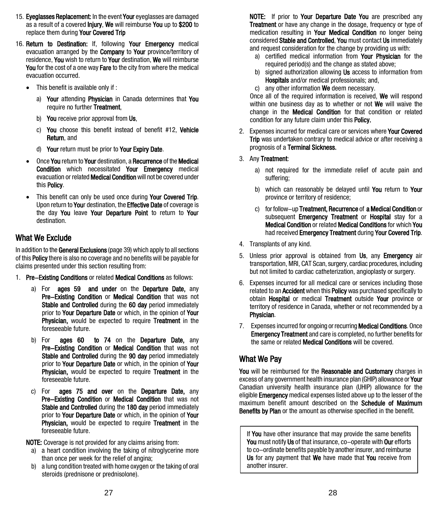- 15. Eyeglasses Replacement: In the event Your eyeglasses are damaged as a result of a covered Injury, We will reimburse You up to \$200 to replace them during Your Covered Trip
- 16. Return to Destination: If, following Your Emergency medical evacuation arranged by the **Company** to **Your** province/territory of residence, You wish to return to Your destination, We will reimburse You for the cost of a one way Fare to the city from where the medical evacuation occurred.
	- This benefit is available only if :
		- a) Your attending Physician in Canada determines that You require no further Treatment.
		- b) You receive prior approval from Us,
		- c) You choose this benefit instead of benefit #12, Vehicle Return, and
		- d) Your return must be prior to Your Expiry Date.
	- Once You return to Your destination, a Recurrence of the Medical Condition which necessitated Your Emergency medical evacuation or related **Medical Condition** will not be covered under this Policy.
	- This benefit can only be used once during Your Covered Trip. Upon return to Your destination, the **Effective Date** of coverage is the day You leave Your Departure Point to return to Your destination.

## What We Exclude

In addition to the General Exclusions (page 39) which apply to all sections of this Policy there is also no coverage and no benefits will be payable for claims presented under this section resulting from:

- 1. Pre-Existing Conditions or related Medical Conditions as follows:
	- a) For **ages 59 and under** on the Departure Date, any Pre-Existing Condition or Medical Condition that was not Stable and Controlled during the 60 day period immediately prior to Your Departure Date or which, in the opinion of Your Physician, would be expected to require Treatment in the foreseeable future.
	- b) For **ages 60 to 74** on the **Departure Date**, any Pre-Existing Condition or Medical Condition that was not Stable and Controlled during the 90 day period immediately prior to Your Departure Date or which, in the opinion of Your Physician, would be expected to require Treatment in the foreseeable future.
	- c) For **ages 75 and over** on the **Departure Date**, any Pre-Existing Condition or Medical Condition that was not Stable and Controlled during the 180 day period immediately prior to Your Departure Date or which, in the opinion of Your Physician, would be expected to require Treatment in the foreseeable future.

NOTE: Coverage is not provided for any claims arising from:

- a) a heart condition involving the taking of nitroglycerine more than once per week for the relief of angina;
- a lung condition treated with home oxygen or the taking of oral steroids (prednisone or prednisolone).

NOTE: If prior to Your Departure Date You are prescribed any **Treatment** or have any change in the dosage, frequency or type of medication resulting in Your Medical Condition no longer being considered Stable and Controlled, You must contact Us immediately and request consideration for the change by providing us with:

- a) certified medical information from Your Physician for the required period(s) and the change as stated above;
- b) signed authorization allowing **Us** access to information from Hospitals and/or medical professionals; and,
- c) any other information We deem necessary.

Once all of the required information is received, We will respond within one business day as to whether or not We will waive the change in the **Medical Condition** for that condition or related condition for any future claim under this Policy.

- 2. Expenses incurred for medical care or services where Your Covered Trip was undertaken contrary to medical advice or after receiving a prognosis of a Terminal Sickness.
- 3. Any Treatment:
	- a) not required for the immediate relief of acute pain and suffering;
	- b) which can reasonably be delayed until You return to Your province or territory of residence;
	- c) for follow-up Treatment, Recurrence of a Medical Condition or subsequent **Emergency Treatment** or **Hospital** stay for a Medical Condition or related Medical Conditions for which You had received Emergency Treatment during Your Covered Trip.
- 4. Transplants of any kind.
- 5. Unless prior approval is obtained from Us, any Emergency air transportation, MRI, CAT Scan, surgery, cardiac procedures, including but not limited to cardiac catheterization, angioplasty or surgery.
- 6. Expenses incurred for all medical care or services including those related to an **Accident** when this **Policy** was purchased specifically to obtain Hospital or medical Treatment outside Your province or territory of residence in Canada, whether or not recommended by a Physician.
- 7. Expenses incurred for ongoing or recurring **Medical Conditions**. Once **Emergency Treatment** and care is completed, no further benefits for the same or related **Medical Conditions** will be covered.

## What We Pay

You will be reimbursed for the Reasonable and Customary charges in excess of any government health insurance plan (GHIP) allowance or **Your** Canadian university health insurance plan (UHIP) allowance for the eligible **Emergency** medical expenses listed above up to the lesser of the maximum benefit amount described on the Schedule of Maximum Benefits by Plan or the amount as otherwise specified in the benefit.

If You have other insurance that may provide the same benefits You must notify Us of that insurance, co-operate with Our efforts to co-ordinate benefits payable by another insurer, and reimburse Us for any payment that We have made that You receive from another insurer.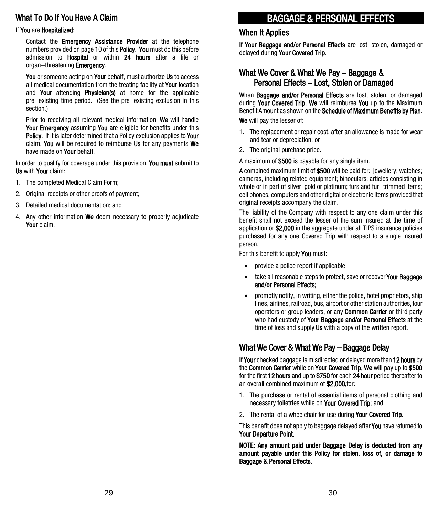## What To Do If You Have A Claim

#### If You are Hospitalized:

Contact the **Emergency Assistance Provider** at the telephone numbers provided on page 10 of this **Policy. You** must do this before admission to Hospital or within 24 hours after a life or organ-threatening **Emergency.** 

You or someone acting on Your behalf, must authorize Us to access all medical documentation from the treating facility at Your location and Your attending Physician(s) at home for the applicable pre-existing time period. (See the pre-existing exclusion in this section.)

Prior to receiving all relevant medical information, We will handle Your Emergency assuming You are eligible for benefits under this Policy. If it is later determined that a Policy exclusion applies to Your claim, You will be required to reimburse Us for any payments We have made on **Your** behalf.

In order to qualify for coverage under this provision. You must submit to Us with Your claim:

- 1. The completed Medical Claim Form;
- 2. Original receipts or other proofs of payment;
- 3. Detailed medical documentation; and
- 4. Any other information We deem necessary to properly adjudicate Your claim.

# BAGGAGE & PERSONAL EFFECTS

#### When It Applies

If Your Baggage and/or Personal Effects are lost, stolen, damaged or delayed during Your Covered Trip.

#### What We Cover & What We Pay – Baggage & Personal Effects – Lost, Stolen or Damaged

When **Baggage and/or Personal Effects** are lost, stolen, or damaged during Your Covered Trip, We will reimburse You up to the Maximum Benefit Amount as shown on the Schedule of Maximum Benefits by Plan.

We will pay the lesser of:

- 1. The replacement or repair cost, after an allowance is made for wear and tear or depreciation; or
- 2. The original purchase price.

A maximum of \$500 is payable for any single item.

A combined maximum limit of \$500 will be paid for: jewellery; watches; cameras, including related equipment; binoculars; articles consisting in whole or in part of silver, gold or platinum; furs and fur-trimmed items; cell phones, computers and other digital or electronic items provided that original receipts accompany the claim.

The liability of the Company with respect to any one claim under this benefit shall not exceed the lesser of the sum insured at the time of application or \$2,000 in the aggregate under all TIPS insurance policies purchased for any one Covered Trip with respect to a single insured person.

For this benefit to apply You must:

- provide a police report if applicable
- take all reasonable steps to protect, save or recover **Your Baggage** and/or Personal Effects;
- promptly notify, in writing, either the police, hotel proprietors, ship lines, airlines, railroad, bus, airport or other station authorities, tour operators or group leaders, or any Common Carrier or third party who had custody of Your Baggage and/or Personal Effects at the time of loss and supply Us with a copy of the written report.

#### What We Cover & What We Pay – Baggage Delay

If Your checked baggage is misdirected or delayed more than 12 hours by the Common Carrier while on Your Covered Trip, We will pay up to \$500 for the first 12 hours and up to \$750 for each 24 hour period thereafter to an overall combined maximum of \$2,000,for:

- 1. The purchase or rental of essential items of personal clothing and necessary toiletries while on Your Covered Trip; and
- 2. The rental of a wheelchair for use during **Your Covered Trip.**

This benefit does not apply to baggage delayed after **You** have returned to Your Departure Point.

NOTE: Any amount paid under Baggage Delay is deducted from any amount payable under this Policy for stolen, loss of, or damage to Baggage & Personal Effects.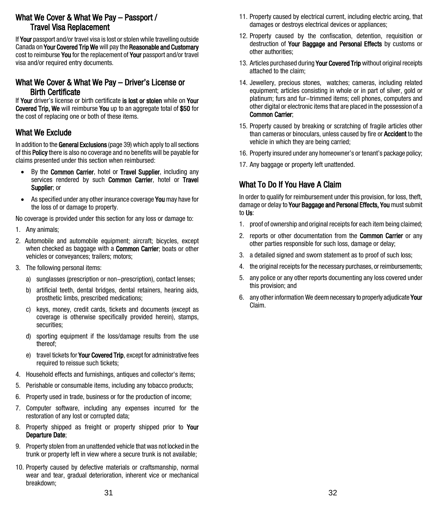#### What We Cover & What We Pay – Passport / Travel Visa Replacement

If Your passport and/or travel visa is lost or stolen while travelling outside Canada on Your Covered Trip We will pay the Reasonable and Customary cost to reimburse You for the replacement of Your passport and/or travel visa and/or required entry documents.

# What We Cover & What We Pay – Driver's License or Birth Certificate<br>If Your driver's license or birth certificate is lost or stolen while on Your

Covered Trip. We will reimburse You up to an aggregate total of \$50 for the cost of replacing one or both of these items.

#### What We Exclude

In addition to the General Exclusions (page 39) which apply to all sections of this Policy there is also no coverage and no benefits will be payable for claims presented under this section when reimbursed:

- By the Common Carrier, hotel or Travel Supplier, including any services rendered by such Common Carrier, hotel or Travel Supplier; or
- As specified under any other insurance coverage You may have for the loss of or damage to property.

No coverage is provided under this section for any loss or damage to:

- 1. Any animals;
- 2. Automobile and automobile equipment; aircraft; bicycles, except when checked as baggage with a **Common Carrier**; boats or other vehicles or conveyances; trailers; motors;
- 3. The following personal items:
	- a) sunglasses (prescription or non-prescription), contact lenses;
	- b) artificial teeth, dental bridges, dental retainers, hearing aids, prosthetic limbs, prescribed medications;
	- c) keys, money, credit cards, tickets and documents (except as coverage is otherwise specifically provided herein), stamps, securities;
	- d) sporting equipment if the loss/damage results from the use thereof;
	- e) travel tickets for **Your Covered Trip**, except for administrative fees required to reissue such tickets;
- 4. Household effects and furnishings, antiques and collector's items;
- 5. Perishable or consumable items, including any tobacco products;
- 6. Property used in trade, business or for the production of income;
- 7. Computer software, including any expenses incurred for the restoration of any lost or corrupted data;
- 8. Property shipped as freight or property shipped prior to Your Departure Date;
- 9. Property stolen from an unattended vehicle that was not locked in the trunk or property left in view where a secure trunk is not available;
- 10. Property caused by defective materials or craftsmanship, normal wear and tear, gradual deterioration, inherent vice or mechanical breakdown;
- 11. Property caused by electrical current, including electric arcing, that damages or destroys electrical devices or appliances;
- 12. Property caused by the confiscation, detention, requisition or destruction of Your Baggage and Personal Effects by customs or other authorities;
- 13. Articles purchased during Your Covered Trip without original receipts attached to the claim;
- 14. Jewellery, precious stones, watches; cameras, including related equipment; articles consisting in whole or in part of silver, gold or platinum; furs and fur-trimmed items; cell phones, computers and other digital or electronic items that are placed in the possession of a Common Carrier;
- 15. Property caused by breaking or scratching of fragile articles other than cameras or binoculars, unless caused by fire or **Accident** to the vehicle in which they are being carried;
- 16. Property insured under any homeowner's or tenant's package policy;
- 17. Any baggage or property left unattended.

## What To Do If You Have A Claim

In order to qualify for reimbursement under this provision, for loss, theft, damage or delay to Your Baggage and Personal Effects, You must submit to Us:

- 1. proof of ownership and original receipts for each item being claimed;
- 2. reports or other documentation from the **Common Carrier** or any other parties responsible for such loss, damage or delay;
- 3. a detailed signed and sworn statement as to proof of such loss;
- 4. the original receipts for the necessary purchases, or reimbursements;
- 5. any police or any other reports documenting any loss covered under this provision; and
- 6. any other information We deem necessary to properly adjudicate Your Claim.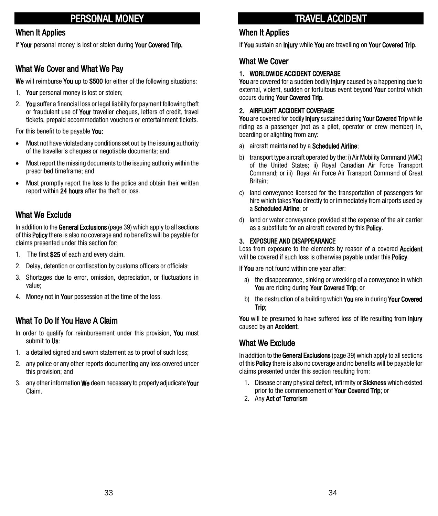# PERSONAL MONEY

#### When It Applies

If Your personal money is lost or stolen during Your Covered Trip.

#### What We Cover and What We Pay

We will reimburse You up to \$500 for either of the following situations:

- 1. Your personal money is lost or stolen;
- 2. You suffer a financial loss or legal liability for payment following theft or fraudulent use of Your traveller cheques, letters of credit, travel tickets, prepaid accommodation vouchers or entertainment tickets.

For this benefit to be payable You:

- Must not have violated any conditions set out by the issuing authority of the traveller's cheques or negotiable documents; and
- Must report the missing documents to the issuing authority within the prescribed timeframe; and
- Must promptly report the loss to the police and obtain their written report within 24 hours after the theft or loss.

#### What We Exclude

In addition to the General Exclusions (page 39) which apply to all sections of this **Policy** there is also no coverage and no benefits will be payable for claims presented under this section for:

- 1. The first \$25 of each and every claim.
- 2. Delay, detention or confiscation by customs officers or officials;
- 3. Shortages due to error, omission, depreciation, or fluctuations in value;
- 4. Money not in Your possession at the time of the loss.

## What To Do If You Have A Claim

- In order to qualify for reimbursement under this provision, You must submit to Us:
- 1. a detailed signed and sworn statement as to proof of such loss;
- 2. any police or any other reports documenting any loss covered under this provision; and
- 3. any other information We deem necessary to properly adjudicate Your Claim.

# TRAVEL ACCIDENT

#### When It Applies

If You sustain an Injury while You are travelling on Your Covered Trip.

#### What We Cover

#### 1. WORLDWIDE ACCIDENT COVERAGE

You are covered for a sudden bodily **Injury** caused by a happening due to external, violent, sudden or fortuitous event beyond Your control which occurs during Your Covered Trip.

#### 2. AIRFLIGHT ACCIDENT COVERAGE

You are covered for bodily *Injury* sustained during Your Covered Trip while riding as a passenger (not as a pilot, operator or crew member) in, boarding or alighting from any:

- a) aircraft maintained by a Scheduled Airline;
- b) transport type aircraft operated by the: i) Air Mobility Command (AMC) of the United States; ii) Royal Canadian Air Force Transport Command; or iii) Royal Air Force Air Transport Command of Great Britain;
- c) land conveyance licensed for the transportation of passengers for hire which takes You directly to or immediately from airports used by a Scheduled Airline; or
- d) land or water conveyance provided at the expense of the air carrier as a substitute for an aircraft covered by this **Policy**.

#### 3. EXPOSURE AND DISAPPEARANCE

Loss from exposure to the elements by reason of a covered **Accident** will be covered if such loss is otherwise payable under this **Policy**.

If You are not found within one year after:

- a) the disappearance, sinking or wrecking of a conveyance in which You are riding during Your Covered Trip; or
- b) the destruction of a building which You are in during Your Covered Trip;

You will be presumed to have suffered loss of life resulting from *Injury* caused by an Accident.

#### What We Exclude

In addition to the General Exclusions (page 39) which apply to all sections of this **Policy** there is also no coverage and no benefits will be payable for claims presented under this section resulting from:

- 1. Disease or any physical defect, infirmity or **Sickness** which existed prior to the commencement of **Your Covered Trip**; or
- 2. Any Act of Terrorism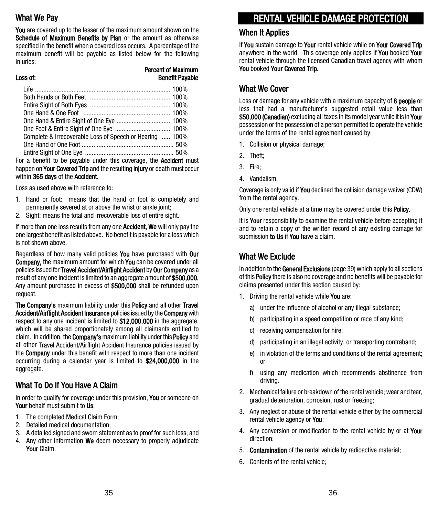## What We Pay

You are covered up to the lesser of the maximum amount shown on the Schedule of Maximum Benefits by Plan or the amount as otherwise specified in the benefit when a covered loss occurs. A percentage of the maximum benefit will be payable as listed below for the following injuries:

#### Percent of Maximum **Benefit Payable**

| Complete & Irrecoverable Loss of Speech or Hearing  100%                  |  |
|---------------------------------------------------------------------------|--|
|                                                                           |  |
|                                                                           |  |
| For a benefit to be payable under this coverage, the <b>Accident</b> must |  |

happen on Your Covered Trip and the resulting Injury or death must occur within 365 days of the Accident.

Loss as used above with reference to:

- 1. Hand or foot: means that the hand or foot is completely and permanently severed at or above the wrist or ankle joint;
- 2. Sight: means the total and irrecoverable loss of entire sight.

If more than one loss results from any one **Accident, We** will only pay the one largest benefit as listed above. No benefit is payable for a loss which is not shown above.

Regardless of how many valid policies **You** have purchased with **Our** Company, the maximum amount for which You can be covered under all policies issued for Travel Accident/Airflight Accident by Our Company as a result of any one incident is limited to an aggregate amount of \$500,000. Any amount purchased in excess of \$500,000 shall be refunded upon request.

The Company's maximum liability under this Policy and all other Travel Accident/Airflight Accident Insurance policies issued by the Company with respect to any one incident is limited to \$12,000,000 in the aggregate, which will be shared proportionately among all claimants entitled to claim. In addition, the **Company's** maximum liability under this **Policy** and all other Travel Accident/Airflight Accident Insurance policies issued by the **Company** under this benefit with respect to more than one incident occurring during a calendar year is limited to \$24,000,000 in the aggregate.

## What To Do If You Have A Claim

In order to qualify for coverage under this provision, You or someone on Your behalf must submit to Us:

- 1. The completed Medical Claim Form;
- 2. Detailed medical documentation;
- 3. A detailed signed and sworn statement as to proof for such loss; and
- 4. Any other information We deem necessary to properly adjudicate Your Claim.

# RENTAL VEHICLE DAMAGE PROTECTION

#### When It Applies

If You sustain damage to Your rental vehicle while on Your Covered Trip anywhere in the world. This coverage only applies if You booked Your rental vehicle through the licensed Canadian travel agency with whom You booked Your Covered Trip.

#### What We Cover

Loss or damage for any vehicle with a maximum capacity of 8 people or less that had a manufacturer's suggested retail value less than \$50,000 (Canadian) excluding all taxes in its model year while it is in Your possession or the possession of a person permitted to operate the vehicle under the terms of the rental agreement caused by:

- 1. Collision or physical damage;
- 2. Theft;
- 3. Fire;
- 4. Vandalism.

Coverage is only valid if You declined the collision damage waiver (CDW) from the rental agency.

Only one rental vehicle at a time may be covered under this **Policy.** 

It is Your responsibility to examine the rental vehicle before accepting it and to retain a copy of the written record of any existing damage for submission to Us if You have a claim.

#### What We Exclude

In addition to the General Exclusions (page 39) which apply to all sections of this Policy there is also no coverage and no benefits will be payable for claims presented under this section caused by:

- 1. Driving the rental vehicle while You are:
	- a) under the influence of alcohol or any illegal substance;
	- b) participating in a speed competition or race of any kind;
	- c) receiving compensation for hire;
	- d) participating in an illegal activity, or transporting contraband;
	- e) in violation of the terms and conditions of the rental agreement; or
	- f) using any medication which recommends abstinence from driving.
- 2. Mechanical failure or breakdown of the rental vehicle; wear and tear, gradual deterioration, corrosion, rust or freezing;
- 3. Any neglect or abuse of the rental vehicle either by the commercial rental vehicle agency or You;
- 4. Any conversion or modification to the rental vehicle by or at Your direction;
- 5. Contamination of the rental vehicle by radioactive material;
- 6. Contents of the rental vehicle;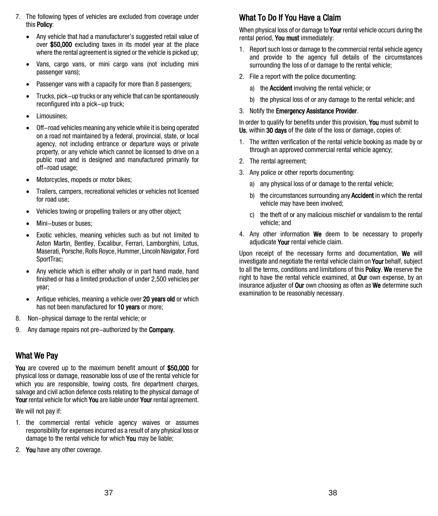- 7. The following types of vehicles are excluded from coverage under this Policy:
	- Any vehicle that had a manufacturer's suggested retail value of over \$50,000 excluding taxes in its model year at the place where the rental agreement is signed or the vehicle is picked up;
	- Vans, cargo vans, or mini cargo vans (not including mini passenger vans);
	- Passenger vans with a capacity for more than 8 passengers;
	- Trucks, pick-up trucks or any vehicle that can be spontaneously reconfigured into a pick-up truck;
	- Limousines;
	- Off-road vehicles meaning any vehicle while it is being operated on a road not maintained by a federal, provincial, state, or local agency, not including entrance or departure ways or private property, or any vehicle which cannot be licensed to drive on a public road and is designed and manufactured primarily for off-road usage;
	- Motorcycles, mopeds or motor bikes;
	- Trailers, campers, recreational vehicles or vehicles not licensed for road use;
	- Vehicles towing or propelling trailers or any other object;
	- Mini-buses or buses;
	- Exotic vehicles, meaning vehicles such as but not limited to Aston Martin, Bentley, Excalibur, Ferrari, Lamborghini, Lotus, Maserati, Porsche, Rolls Royce, Hummer, Lincoln Navigator, Ford SportTrac;
	- Any vehicle which is either wholly or in part hand made, hand finished or has a limited production of under 2,500 vehicles per year;
	- Antique vehicles, meaning a vehicle over 20 years old or which has not been manufactured for 10 years or more;
- 8. Non-physical damage to the rental vehicle; or
- 9. Any damage repairs not pre-authorized by the **Company.**

## What We Pay

You are covered up to the maximum benefit amount of \$50,000 for physical loss or damage, reasonable loss of use of the rental vehicle for which you are responsible, towing costs, fire department charges, salvage and civil action defence costs relating to the physical damage of Your rental vehicle for which You are liable under Your rental agreement.

We will not pay if:

- 1. the commercial rental vehicle agency waives or assumes responsibility for expenses incurred as a result of any physical loss or damage to the rental vehicle for which **You** may be liable:
- 2. You have any other coverage.

## What To Do If You Have a Claim

When physical loss of or damage to **Your** rental vehicle occurs during the rental period. You must immediately:

- 1. Report such loss or damage to the commercial rental vehicle agency and provide to the agency full details of the circumstances surrounding the loss of or damage to the rental vehicle;
- 2. File a report with the police documenting:
	- a) the Accident involving the rental vehicle; or
	- b) the physical loss of or any damage to the rental vehicle; and
- 3. Notify the Emergency Assistance Provider.

In order to qualify for benefits under this provision, You must submit to Us, within 30 days of the date of the loss or damage, copies of:

- 1. The written verification of the rental vehicle booking as made by or through an approved commercial rental vehicle agency;
- 2. The rental agreement;
- 3. Any police or other reports documenting:
	- a) any physical loss of or damage to the rental vehicle;
	- b) the circumstances surrounding any **Accident** in which the rental vehicle may have been involved;
	- c) the theft of or any malicious mischief or vandalism to the rental vehicle; and
- 4. Any other information We deem to be necessary to properly adjudicate Your rental vehicle claim.

Upon receipt of the necessary forms and documentation, We will investigate and negotiate the rental vehicle claim on **Your** behalf, subject to all the terms, conditions and limitations of this **Policy. We** reserve the right to have the rental vehicle examined, at **Our** own expense, by an insurance adjuster of **Our** own choosing as often as **We** determine such examination to be reasonably necessary.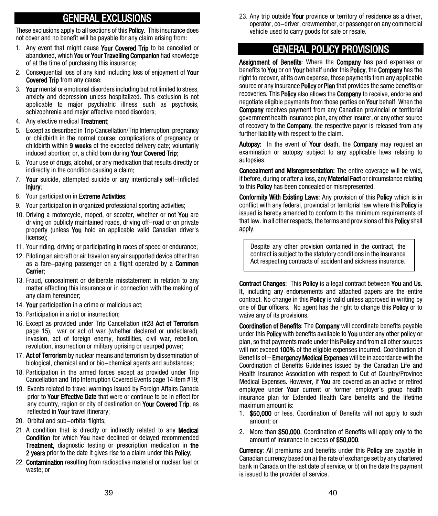# GENERAL EXCLUSIONS

These exclusions apply to all sections of this **Policy**. This insurance does not cover and no benefit will be payable for any claim arising from:

- 1. Any event that might cause Your Covered Trip to be cancelled or abandoned, which You or Your Travelling Companion had knowledge of at the time of purchasing this insurance;
- 2. Consequential loss of any kind including loss of enjoyment of Your Covered Trip from any cause;
- 3. Your mental or emotional disorders including but not limited to stress, anxiety and depression unless hospitalized. This exclusion is not applicable to major psychiatric illness such as psychosis, schizophrenia and major affective mood disorders;
- 4. Any elective medical Treatment:
- 5. Except as described in Trip Cancellation/Trip Interruption: pregnancy or childbirth in the normal course; complications of pregnancy or childbirth within 9 weeks of the expected delivery date; voluntarily induced abortion; or, a child born during Your Covered Trip;
- 6. Your use of drugs, alcohol, or any medication that results directly or indirectly in the condition causing a claim;
- 7. Your suicide, attempted suicide or any intentionally self-inflicted Injury;
- 8. Your participation in **Extreme Activities**;
- 9. Your participation in organized professional sporting activities;
- 10. Driving a motorcycle, moped, or scooter, whether or not You are driving on publicly maintained roads, driving off-road or on private property (unless You hold an applicable valid Canadian driver's license);
- 11. Your riding, driving or participating in races of speed or endurance;
- 12. Piloting an aircraft or air travel on any air supported device other than as a fare-paying passenger on a flight operated by a **Common** Carrier;
- 13. Fraud, concealment or deliberate misstatement in relation to any matter affecting this insurance or in connection with the making of any claim hereunder;
- 14. Your participation in a crime or malicious act;
- 15. Participation in a riot or insurrection;
- 16. Except as provided under Trip Cancellation (#28 Act of Terrorism page 15), war or act of war (whether declared or undeclared), invasion, act of foreign enemy, hostilities, civil war, rebellion, revolution, insurrection or military uprising or usurped power;
- 17. Act of Terrorism by nuclear means and terrorism by dissemination of biological, chemical and or bio-chemical agents and substances;
- 18. Participation in the armed forces except as provided under Trip Cancellation and Trip Interruption Covered Events page 14 item #19;
- 19. Events related to travel warnings issued by Foreign Affairs Canada prior to Your Effective Date that were or continue to be in effect for any country, region or city of destination on Your Covered Trip, as reflected in Your travel itinerary;
- 20. Orbital and sub-orbital flights;
- 21. A condition that is directly or indirectly related to any **Medical** Condition for which You have declined or delayed recommended **Treatment,** diagnostic testing or prescription medication in **the** 2 years prior to the date it gives rise to a claim under this Policy;
- 22. Contamination resulting from radioactive material or nuclear fuel or waste; or

23. Any trip outside Your province or territory of residence as a driver, operator, co-driver, crewmember, or passenger on any commercial vehicle used to carry goods for sale or resale.

# GENERAL POLICY PROVISIONS

Assignment of Benefits: Where the Company has paid expenses or benefits to You or on Your behalf under this Policy, the Company has the right to recover, at its own expense, those payments from any applicable source or any insurance **Policy** or **Plan** that provides the same benefits or recoveries. This **Policy** also allows the **Company** to receive, endorse and negotiate eligible payments from those parties on **Your** behalf. When the Company receives payment from any Canadian provincial or territorial government health insurance plan, any other insurer, or any other source of recovery to the **Company**, the respective payor is released from any further liability with respect to the claim.

Autopsy: In the event of Your death, the Company may request an examination or autopsy subject to any applicable laws relating to autopsies.

Concealment and Misrepresentation: The entire coverage will be void, if before, during or after a loss, any **Material Fact** or circumstance relating to this Policy has been concealed or misrepresented.

Conformity With Existing Laws: Any provision of this Policy which is in conflict with any federal, provincial or territorial law where this **Policy** is issued is hereby amended to conform to the minimum requirements of that law. In all other respects, the terms and provisions of this **Policy** shall apply.

Despite any other provision contained in the contract, the contract is subject to the statutory conditions in the Insurance Act respecting contracts of accident and sickness insurance.

Contract Changes: This Policy is a legal contract between You and Us. It, including any endorsements and attached papers are the entire contract. No change in this **Policy** is valid unless approved in writing by one of Our officers. No agent has the right to change this **Policy** or to waive any of its provisions.

Coordination of Benefits: The Company will coordinate benefits payable under this Policy with benefits available to You under any other policy or plan, so that payments made under this **Policy** and from all other sources will not exceed 100% of the eligible expenses incurred. Coordination of Benefits of – **Emergency Medical Expenses** will be in accordance with the Coordination of Benefits Guidelines issued by the Canadian Life and Health Insurance Association with respect to Out of Country/Province Medical Expenses. However, if You are covered as an active or retired employee under **Your** current or former employer's group health insurance plan for Extended Health Care benefits and the lifetime maximum amount is:

- 1. \$50,000 or less. Coordination of Benefits will not apply to such amount; or
- 2. More than \$50,000, Coordination of Benefits will apply only to the amount of insurance in excess of \$50,000.

**Currency:** All premiums and benefits under this **Policy** are payable in Canadian currency based on a) the rate of exchange set by any chartered bank in Canada on the last date of service, or b) on the date the payment is issued to the provider of service.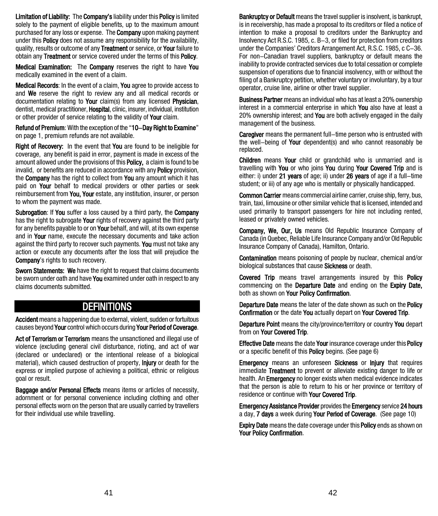Limitation of Liability: The Company's liability under this Policy is limited solely to the payment of eligible benefits, up to the maximum amount purchased for any loss or expense. The Company upon making payment under this **Policy** does not assume any responsibility for the availability. quality, results or outcome of any Treatment or service, or Your failure to obtain any Treatment or service covered under the terms of this Policy.

Medical Examination: The Company reserves the right to have You medically examined in the event of a claim.

Medical Records: In the event of a claim, You agree to provide access to and We reserve the right to review any and all medical records or documentation relating to Your claim(s) from any licensed Physician. dentist, medical practitioner, **Hospital**, clinic, insurer, individual, institution or other provider of service relating to the validity of **Your** claim.

Refund of Premium: With the exception of the "10-Day Right to Examine" on page 1, premium refunds are not available.

Right of Recovery: In the event that You are found to be ineligible for coverage, any benefit is paid in error, payment is made in excess of the amount allowed under the provisions of this **Policy**, a claim is found to be invalid, or benefits are reduced in accordance with any **Policy** provision. the **Company** has the right to collect from **You** any amount which it has paid on **Your** behalf to medical providers or other parties or seek reimbursement from You, Your estate, any institution, insurer, or person to whom the payment was made.

Subrogation: If You suffer a loss caused by a third party, the Company has the right to subrogate Your rights of recovery against the third party for any benefits payable to or on Your behalf, and will, at its own expense and in Your name, execute the necessary documents and take action against the third party to recover such payments. You must not take any action or execute any documents after the loss that will prejudice the Company's rights to such recovery.

Sworn Statements: We have the right to request that claims documents be sworn under oath and have **You** examined under oath in respect to any claims documents submitted.

## **DEFINITIONS**

Accident means a happening due to external, violent, sudden or fortuitous causes beyond Your control which occurs during Your Period of Coverage.

Act of Terrorism or Terrorism means the unsanctioned and illegal use of violence (excluding general civil disturbance, rioting, and act of war (declared or undeclared) or the intentional release of a biological material), which caused destruction of property, **injury** or death for the express or implied purpose of achieving a political, ethnic or religious goal or result.

Baggage and/or Personal Effects means items or articles of necessity, adornment or for personal convenience including clothing and other personal effects worn on the person that are usually carried by travellers for their individual use while travelling.

**Bankruptcy or Default** means the travel supplier is insolvent, is bankrupt, is in receivership, has made a proposal to its creditors or filed a notice of intention to make a proposal to creditors under the Bankruptcy and Insolvency Act R.S.C. 1985, c. B-3, or filed for protection from creditors under the Companies' Creditors Arrangement Act, R.S.C. 1985, c C-36. For non-Canadian travel suppliers, bankruptcy or default means the inability to provide contracted services due to total cessation or complete suspension of operations due to financial insolvency, with or without the filing of a Bankruptcy petition, whether voluntary or involuntary, by a tour operator, cruise line, airline or other travel supplier.

**Business Partner** means an individual who has at least a 20% ownership interest in a commercial enterprise in which You also have at least a 20% ownership interest; and You are both actively engaged in the daily management of the business.

**Caregiver** means the permanent full–time person who is entrusted with the well-being of Your dependent(s) and who cannot reasonably be replaced.

Children means Your child or grandchild who is unmarried and is travelling with You or who joins You during Your Covered Trip and is either: i) under 21 years of age; ii) under 26 years of age if a full-time student; or iii) of any age who is mentally or physically handicapped.

Common Carrier means commercial airline carrier, cruise ship, ferry, bus, train, taxi, limousine or other similar vehicle that is licensed, intended and used primarily to transport passengers for hire not including rented, leased or privately owned vehicles.

Company, We, Our, Us means Old Republic Insurance Company of Canada (in Quebec, Reliable Life Insurance Company and/or Old Republic Insurance Company of Canada), Hamilton, Ontario.

**Contamination** means poisoning of people by nuclear, chemical and/or biological substances that cause **Sickness** or death.

Covered Trip means travel arrangements insured by this Policy commencing on the **Departure Date** and ending on the **Expiry Date**, both as shown on Your Policy Confirmation.

Departure Date means the later of the date shown as such on the Policy Confirmation or the date You actually depart on Your Covered Trip.

Departure Point means the city/province/territory or country You depart from on Your Covered Trip.

**Effective Date** means the date Your insurance coverage under this **Policy** or a specific benefit of this **Policy** begins. (See page 6)

**Emergency** means an unforeseen **Sickness** or **Injury** that requires immediate Treatment to prevent or alleviate existing danger to life or health. An **Emergency** no longer exists when medical evidence indicates that the person is able to return to his or her province or territory of residence or continue with Your Covered Trip.

Emergency Assistance Provider provides the Emergency service 24 hours a day, 7 days a week during Your Period of Coverage. (See page 10)

**Expiry Date** means the date coverage under this **Policy** ends as shown on Your Policy Confirmation.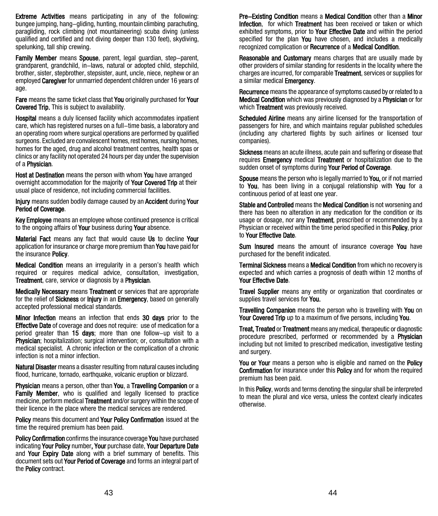Extreme Activities means participating in any of the following: bungee jumping, hang-gliding, hunting, mountain climbing parachuting, paragliding, rock climbing (not mountaineering) scuba diving (unless qualified and certified and not diving deeper than 130 feet), skydiving, spelunking, tall ship crewing.

Family Member means Spouse, parent, legal quardian, step-parent, grandparent, grandchild, in-laws, natural or adopted child, stepchild, brother, sister, stepbrother, stepsister, aunt, uncle, niece, nephew or an employed **Caregiver** for unmarried dependent children under 16 years of age.

Fare means the same ticket class that You originally purchased for Your Covered Trip. This is subject to availability.

Hospital means a duly licensed facility which accommodates inpatient care, which has registered nurses on a full-time basis, a laboratory and an operating room where surgical operations are performed by qualified surgeons. Excluded are convalescent homes, rest homes, nursing homes, homes for the aged, drug and alcohol treatment centres, health spas or clinics or any facility not operated 24 hours per day under the supervision of a Physician.

Host at Destination means the person with whom You have arranged overnight accommodation for the majority of Your Covered Trip at their usual place of residence, not including commercial facilities.

Injury means sudden bodily damage caused by an Accident during Your Period of Coverage.

Key Employee means an employee whose continued presence is critical to the ongoing affairs of **Your** business during **Your** absence.

Material Fact means any fact that would cause Us to decline Your application for insurance or charge more premium than You have paid for the insurance Policy.

**Medical Condition** means an irregularity in a person's health which required or requires medical advice, consultation, investigation, Treatment, care, service or diagnosis by a Physician.

Medically Necessary means Treatment or services that are appropriate for the relief of Sickness or Injury in an Emergency, based on generally accepted professional medical standards.

Minor Infection means an infection that ends 30 days prior to the **Effective Date** of coverage and does not require: use of medication for a period greater than 15 days; more than one follow-up visit to a **Physician**; hospitalization; surgical intervention; or, consultation with a medical specialist. A chronic infection or the complication of a chronic infection is not a minor infection.

Natural Disaster means a disaster resulting from natural causes including flood, hurricane, tornado, earthquake, volcanic eruption or blizzard.

Physician means a person, other than You, a Travelling Companion or a Family Member, who is qualified and legally licensed to practice medicine, perform medical **Treatment** and/or surgery within the scope of their licence in the place where the medical services are rendered.

Policy means this document and Your Policy Confirmation issued at the time the required premium has been paid.

Policy Confirmation confirms the insurance coverage You have purchased indicating Your Policy number, Your purchase date, Your Departure Date and Your Expiry Date along with a brief summary of benefits. This document sets out Your Period of Coverage and forms an integral part of the Policy contract.

Pre-Existing Condition means a Medical Condition other than a Minor Infection. for which Treatment has been received or taken or which exhibited symptoms, prior to Your Effective Date and within the period specified for the plan You have chosen, and includes a medically recognized complication or Recurrence of a Medical Condition.

Reasonable and Customary means charges that are usually made by other providers of similar standing for residents in the locality where the charges are incurred, for comparable Treatment, services or supplies for a similar medical Emergency.

Recurrence means the appearance of symptoms caused by or related to a Medical Condition which was previously diagnosed by a Physician or for which **Treatment** was previously received.

Scheduled Airline means any airline licensed for the transportation of passengers for hire, and which maintains regular published schedules (including any chartered flights by such airlines or licensed tour companies).

Sickness means an acute illness, acute pain and suffering or disease that requires **Emergency** medical **Treatment** or hospitalization due to the sudden onset of symptoms during Your Period of Coverage.

Spouse means the person who is legally married to You, or if not married to You, has been living in a conjugal relationship with You for a continuous period of at least one year.

Stable and Controlled means the Medical Condition is not worsening and there has been no alteration in any medication for the condition or its usage or dosage, nor any **Treatment**, prescribed or recommended by a Physician or received within the time period specified in this **Policy**, prior to Your Effective Date.

Sum Insured means the amount of insurance coverage You have purchased for the benefit indicated.

Terminal Sickness means a Medical Condition from which no recovery is expected and which carries a prognosis of death within 12 months of Your Effective Date.

**Travel Supplier** means any entity or organization that coordinates or supplies travel services for You.

Travelling Companion means the person who is travelling with You on Your Covered Trip up to a maximum of five persons, including You.

**Treat, Treated or Treatment** means any medical, therapeutic or diagnostic procedure prescribed, performed or recommended by a Physician including but not limited to prescribed medication, investigative testing and surgery.

You or Your means a person who is eligible and named on the Policy Confirmation for insurance under this Policy and for whom the required premium has been paid.

In this **Policy**, words and terms denoting the singular shall be interpreted to mean the plural and vice versa, unless the context clearly indicates otherwise.